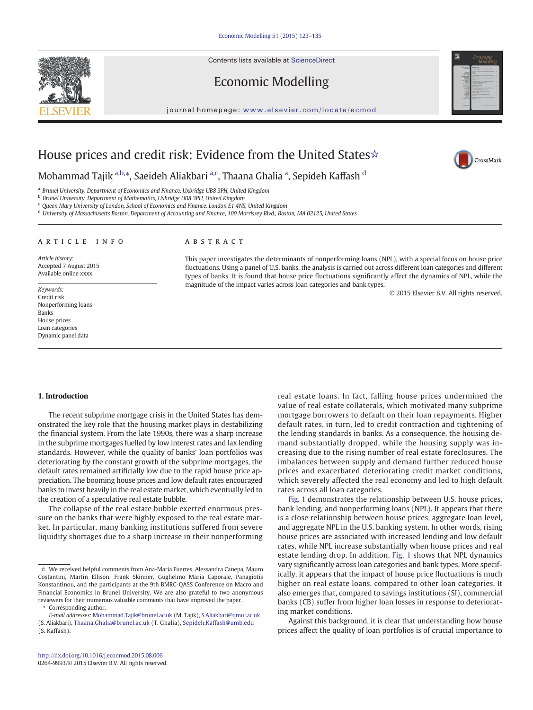Contents lists available at [ScienceDirect](http://www.sciencedirect.com/science/journal/02649993)



CrossMark

Economic Modelling

journal homepage: <www.elsevier.com/locate/ecmod>

# House prices and credit risk: Evidence from the United States☆

Mohammad Tajik <sup>a,b,</sup>\*, Saeideh Aliakbari <sup>a,c</sup>, Thaana Ghalia <sup>a</sup>, Sepideh Kaffash <sup>d</sup>

<sup>a</sup> Brunel University, Department of Economics and Finance, Uxbridge UB8 3PH, United Kingdom

b<br>Brunel University, Department of Mathematics, Uxbridge UB8 3PH, United Kingdom

<sup>c</sup> Queen Mary University of London, School of Economics and Finance, London E1 4NS, United Kingdom

<sup>d</sup> University of Massachusetts Boston, Department of Accounting and Finance, 100 Morrissey Blvd., Boston, MA 02125, United States

### article info abstract

Article history: Accepted 7 August 2015 Available online xxxx

Keywords: Credit risk Nonperforming loans Banks House prices Loan categories Dynamic panel data

This paper investigates the determinants of nonperforming loans (NPL), with a special focus on house price fluctuations. Using a panel of U.S. banks, the analysis is carried out across different loan categories and different types of banks. It is found that house price fluctuations significantly affect the dynamics of NPL, while the magnitude of the impact varies across loan categories and bank types.

© 2015 Elsevier B.V. All rights reserved.

# 1. Introduction

The recent subprime mortgage crisis in the United States has demonstrated the key role that the housing market plays in destabilizing the financial system. From the late 1990s, there was a sharp increase in the subprime mortgages fuelled by low interest rates and lax lending standards. However, while the quality of banks' loan portfolios was deteriorating by the constant growth of the subprime mortgages, the default rates remained artificially low due to the rapid house price appreciation. The booming house prices and low default rates encouraged banks to invest heavily in the real estate market, which eventually led to the creation of a speculative real estate bubble.

The collapse of the real estate bubble exerted enormous pressure on the banks that were highly exposed to the real estate market. In particular, many banking institutions suffered from severe liquidity shortages due to a sharp increase in their nonperforming

(S. Aliakbari), [Thaana.Ghalia@brunel.ac.uk](mailto:Thaana.Ghalia@brunel.ac.uk) (T. Ghalia), [Sepideh.Kaffash@umb.edu](mailto:Sepideh.Kaffash@umb.edu) (S. Kaffash).

real estate loans. In fact, falling house prices undermined the value of real estate collaterals, which motivated many subprime mortgage borrowers to default on their loan repayments. Higher default rates, in turn, led to credit contraction and tightening of the lending standards in banks. As a consequence, the housing demand substantially dropped, while the housing supply was increasing due to the rising number of real estate foreclosures. The imbalances between supply and demand further reduced house prices and exacerbated deteriorating credit market conditions, which severely affected the real economy and led to high default rates across all loan categories.

[Fig. 1](#page-1-0) demonstrates the relationship between U.S. house prices, bank lending, and nonperforming loans (NPL). It appears that there is a close relationship between house prices, aggregate loan level, and aggregate NPL in the U.S. banking system. In other words, rising house prices are associated with increased lending and low default rates, while NPL increase substantially when house prices and real estate lending drop. In addition, [Fig. 1](#page-1-0) shows that NPL dynamics vary significantly across loan categories and bank types. More specifically, it appears that the impact of house price fluctuations is much higher on real estate loans, compared to other loan categories. It also emerges that, compared to savings institutions (SI), commercial banks (CB) suffer from higher loan losses in response to deteriorating market conditions.

Against this background, it is clear that understanding how house prices affect the quality of loan portfolios is of crucial importance to

<sup>☆</sup> We received helpful comments from Ana-Maria Fuertes, Alessandra Canepa, Mauro Costantini, Martin Ellison, Frank Skinner, Guglielmo Maria Caporale, Panagiotis Konstantinou, and the participants at the 9th BMRC-QASS Conference on Macro and Financial Economics in Brunel University. We are also grateful to two anonymous reviewers for their numerous valuable comments that have improved the paper.

Corresponding author.

E-mail addresses: [Mohammad.Tajik@brunel.ac.uk](mailto:Mohammad.Tajik@brunel.ac.uk) (M. Tajik), [S.Aliakbari@qmul.ac.uk](mailto:S.Aliakbari@qmul.ac.uk)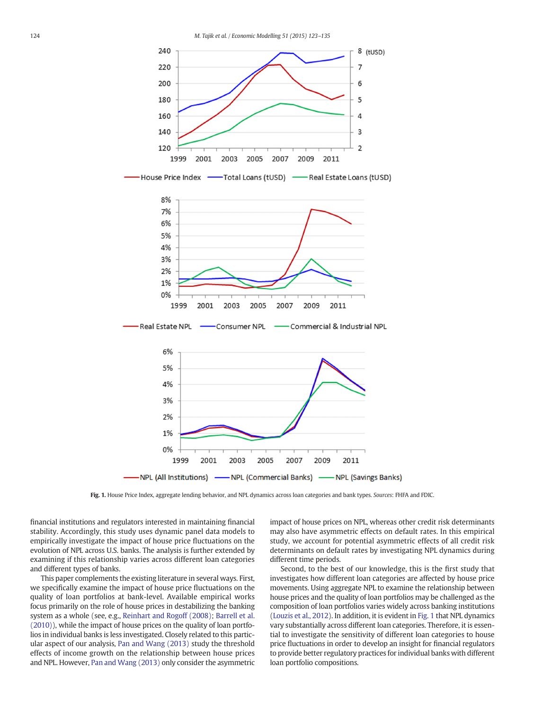<span id="page-1-0"></span>

Fig. 1. House Price Index, aggregate lending behavior, and NPL dynamics across loan categories and bank types. Sources: FHFA and FDIC.

financial institutions and regulators interested in maintaining financial stability. Accordingly, this study uses dynamic panel data models to empirically investigate the impact of house price fluctuations on the evolution of NPL across U.S. banks. The analysis is further extended by examining if this relationship varies across different loan categories and different types of banks.

This paper complements the existing literature in several ways. First, we specifically examine the impact of house price fluctuations on the quality of loan portfolios at bank-level. Available empirical works focus primarily on the role of house prices in destabilizing the banking system as a whole (see, e.g., [Reinhart and Rogoff \(2008\)](#page-12-0); [Barrell et al.](#page-11-0) [\(2010\)](#page-11-0)), while the impact of house prices on the quality of loan portfolios in individual banks is less investigated. Closely related to this particular aspect of our analysis, [Pan and Wang \(2013\)](#page-12-0) study the threshold effects of income growth on the relationship between house prices and NPL. However, [Pan and Wang \(2013\)](#page-12-0) only consider the asymmetric impact of house prices on NPL, whereas other credit risk determinants may also have asymmetric effects on default rates. In this empirical study, we account for potential asymmetric effects of all credit risk determinants on default rates by investigating NPL dynamics during different time periods.

Second, to the best of our knowledge, this is the first study that investigates how different loan categories are affected by house price movements. Using aggregate NPL to examine the relationship between house prices and the quality of loan portfolios may be challenged as the composition of loan portfolios varies widely across banking institutions [\(Louzis et al., 2012](#page-12-0)). In addition, it is evident in Fig. 1 that NPL dynamics vary substantially across different loan categories. Therefore, it is essential to investigate the sensitivity of different loan categories to house price fluctuations in order to develop an insight for financial regulators to provide better regulatory practices for individual banks with different loan portfolio compositions.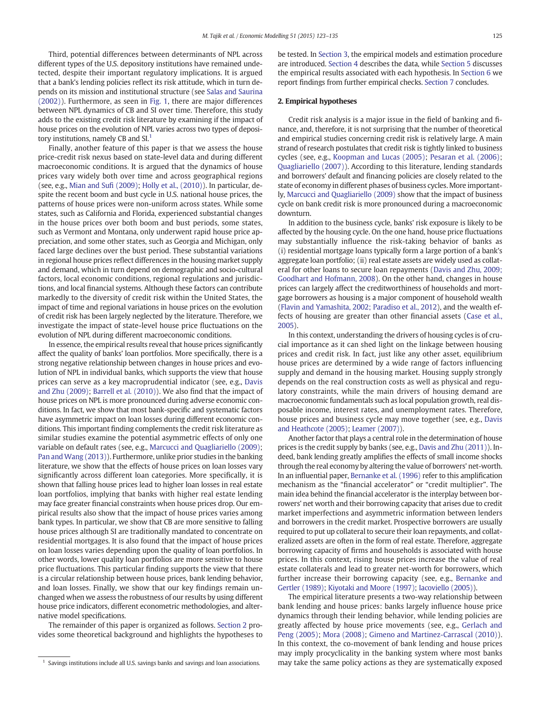<span id="page-2-0"></span>Third, potential differences between determinants of NPL across different types of the U.S. depository institutions have remained undetected, despite their important regulatory implications. It is argued that a bank's lending policies reflect its risk attitude, which in turn depends on its mission and institutional structure (see [Salas and Saurina](#page-12-0) [\(2002\)](#page-12-0)). Furthermore, as seen in [Fig. 1](#page-1-0), there are major differences between NPL dynamics of CB and SI over time. Therefore, this study adds to the existing credit risk literature by examining if the impact of house prices on the evolution of NPL varies across two types of depository institutions, namely CB and SI.<sup>1</sup>

Finally, another feature of this paper is that we assess the house price-credit risk nexus based on state-level data and during different macroeconomic conditions. It is argued that the dynamics of house prices vary widely both over time and across geographical regions (see, e.g., [Mian and Su](#page-12-0)fi (2009); [Holly et al., \(2010\)](#page-12-0)). In particular, despite the recent boom and bust cycle in U.S. national house prices, the patterns of house prices were non-uniform across states. While some states, such as California and Florida, experienced substantial changes in the house prices over both boom and bust periods, some states, such as Vermont and Montana, only underwent rapid house price appreciation, and some other states, such as Georgia and Michigan, only faced large declines over the bust period. These substantial variations in regional house prices reflect differences in the housing market supply and demand, which in turn depend on demographic and socio-cultural factors, local economic conditions, regional regulations and jurisdictions, and local financial systems. Although these factors can contribute markedly to the diversity of credit risk within the United States, the impact of time and regional variations in house prices on the evolution of credit risk has been largely neglected by the literature. Therefore, we investigate the impact of state-level house price fluctuations on the evolution of NPL during different macroeconomic conditions.

In essence, the empirical results reveal that house prices significantly affect the quality of banks' loan portfolios. More specifically, there is a strong negative relationship between changes in house prices and evolution of NPL in individual banks, which supports the view that house prices can serve as a key macroprudential indicator (see, e.g., [Davis](#page-11-0) [and Zhu \(2009\)](#page-11-0); [Barrell et al. \(2010\)](#page-11-0)). We also find that the impact of house prices on NPL is more pronounced during adverse economic conditions. In fact, we show that most bank-specific and systematic factors have asymmetric impact on loan losses during different economic conditions. This important finding complements the credit risk literature as similar studies examine the potential asymmetric effects of only one variable on default rates (see, e.g., [Marcucci and Quagliariello \(2009\);](#page-12-0) [Pan and Wang \(2013\)](#page-12-0)). Furthermore, unlike prior studies in the banking literature, we show that the effects of house prices on loan losses vary significantly across different loan categories. More specifically, it is shown that falling house prices lead to higher loan losses in real estate loan portfolios, implying that banks with higher real estate lending may face greater financial constraints when house prices drop. Our empirical results also show that the impact of house prices varies among bank types. In particular, we show that CB are more sensitive to falling house prices although SI are traditionally mandated to concentrate on residential mortgages. It is also found that the impact of house prices on loan losses varies depending upon the quality of loan portfolios. In other words, lower quality loan portfolios are more sensitive to house price fluctuations. This particular finding supports the view that there is a circular relationship between house prices, bank lending behavior, and loan losses. Finally, we show that our key findings remain unchanged when we assess the robustness of our results by using different house price indicators, different econometric methodologies, and alternative model specifications.

The remainder of this paper is organized as follows. Section 2 provides some theoretical background and highlights the hypotheses to be tested. In [Section 3,](#page-3-0) the empirical models and estimation procedure are introduced. [Section 4](#page-4-0) describes the data, while [Section 5](#page-5-0) discusses the empirical results associated with each hypothesis. In [Section 6](#page-8-0) we report findings from further empirical checks. [Section 7](#page-10-0) concludes.

# 2. Empirical hypotheses

Credit risk analysis is a major issue in the field of banking and finance, and, therefore, it is not surprising that the number of theoretical and empirical studies concerning credit risk is relatively large. A main strand of research postulates that credit risk is tightly linked to business cycles (see, e.g., [Koopman and Lucas \(2005\)](#page-12-0); [Pesaran et al. \(2006\);](#page-12-0) [Quagliariello \(2007\)\)](#page-12-0). According to this literature, lending standards and borrowers' default and financing policies are closely related to the state of economy in different phases of business cycles. More importantly, [Marcucci and Quagliariello \(2009\)](#page-12-0) show that the impact of business cycle on bank credit risk is more pronounced during a macroeconomic downturn.

In addition to the business cycle, banks' risk exposure is likely to be affected by the housing cycle. On the one hand, house price fluctuations may substantially influence the risk-taking behavior of banks as (i) residential mortgage loans typically form a large portion of a bank's aggregate loan portfolio; (ii) real estate assets are widely used as collateral for other loans to secure loan repayments ([Davis and Zhu, 2009;](#page-11-0) [Goodhart and Hofmann, 2008\)](#page-11-0). On the other hand, changes in house prices can largely affect the creditworthiness of households and mortgage borrowers as housing is a major component of household wealth [\(Flavin and Yamashita, 2002; Paradiso et al., 2012](#page-12-0)), and the wealth effects of housing are greater than other financial assets ([Case et al.,](#page-11-0) [2005](#page-11-0)).

In this context, understanding the drivers of housing cycles is of crucial importance as it can shed light on the linkage between housing prices and credit risk. In fact, just like any other asset, equilibrium house prices are determined by a wide range of factors influencing supply and demand in the housing market. Housing supply strongly depends on the real construction costs as well as physical and regulatory constraints, while the main drivers of housing demand are macroeconomic fundamentals such as local population growth, real disposable income, interest rates, and unemployment rates. Therefore, house prices and business cycle may move together (see, e.g., [Davis](#page-11-0) [and Heathcote \(2005\);](#page-11-0) [Leamer \(2007\)\)](#page-12-0).

Another factor that plays a central role in the determination of house prices is the credit supply by banks (see, e.g., [Davis and Zhu \(2011\)](#page-11-0)). Indeed, bank lending greatly amplifies the effects of small income shocks through the real economy by altering the value of borrowers' net-worth. In an influential paper, [Bernanke et al. \(1996\)](#page-11-0) refer to this amplification mechanism as the "financial accelerator" or "credit multiplier". The main idea behind the financial accelerator is the interplay between borrowers' net worth and their borrowing capacity that arises due to credit market imperfections and asymmetric information between lenders and borrowers in the credit market. Prospective borrowers are usually required to put up collateral to secure their loan repayments, and collateralized assets are often in the form of real estate. Therefore, aggregate borrowing capacity of firms and households is associated with house prices. In this context, rising house prices increase the value of real estate collaterals and lead to greater net-worth for borrowers, which further increase their borrowing capacity (see, e.g., [Bernanke and](#page-11-0) [Gertler \(1989\)](#page-11-0); [Kiyotaki and Moore \(1997\);](#page-12-0) [Iacoviello \(2005\)\)](#page-12-0).

The empirical literature presents a two-way relationship between bank lending and house prices: banks largely influence house price dynamics through their lending behavior, while lending policies are greatly affected by house price movements (see, e.g., [Gerlach and](#page-12-0) [Peng \(2005\);](#page-12-0) [Mora \(2008\);](#page-12-0) [Gimeno and Martinez-Carrascal \(2010\)](#page-12-0)). In this context, the co-movement of bank lending and house prices may imply procyclicality in the banking system where most banks <sup>1</sup> Savings institutions include all U.S. savings banks and savings and loan associations. Thay take the same policy actions as they are systematically exposed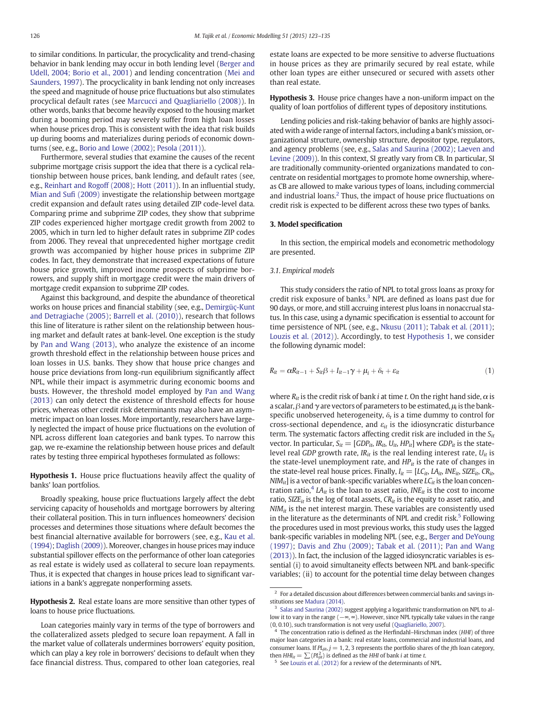<span id="page-3-0"></span>to similar conditions. In particular, the procyclicality and trend-chasing behavior in bank lending may occur in both lending level ([Berger and](#page-11-0) [Udell, 2004; Borio et al., 2001](#page-11-0)) and lending concentration [\(Mei and](#page-12-0) [Saunders, 1997\)](#page-12-0). The procyclicality in bank lending not only increases the speed and magnitude of house price fluctuations but also stimulates procyclical default rates (see [Marcucci and Quagliariello \(2008\)\)](#page-12-0). In other words, banks that become heavily exposed to the housing market during a booming period may severely suffer from high loan losses when house prices drop. This is consistent with the idea that risk builds up during booms and materializes during periods of economic downturns (see, e.g., [Borio and Lowe \(2002\);](#page-11-0) [Pesola \(2011\)\)](#page-12-0).

Furthermore, several studies that examine the causes of the recent subprime mortgage crisis support the idea that there is a cyclical relationship between house prices, bank lending, and default rates (see, e.g., [Reinhart and Rogoff \(2008\)](#page-12-0); [Hott \(2011\)](#page-12-0)). In an influential study, [Mian and Su](#page-12-0)fi (2009) investigate the relationship between mortgage credit expansion and default rates using detailed ZIP code-level data. Comparing prime and subprime ZIP codes, they show that subprime ZIP codes experienced higher mortgage credit growth from 2002 to 2005, which in turn led to higher default rates in subprime ZIP codes from 2006. They reveal that unprecedented higher mortgage credit growth was accompanied by higher house prices in subprime ZIP codes. In fact, they demonstrate that increased expectations of future house price growth, improved income prospects of subprime borrowers, and supply shift in mortgage credit were the main drivers of mortgage credit expansion to subprime ZIP codes.

Against this background, and despite the abundance of theoretical works on house prices and financial stability (see, e.g., [Demirgüç-Kunt](#page-12-0) [and Detragiache \(2005\);](#page-12-0) [Barrell et al. \(2010\)](#page-11-0)), research that follows this line of literature is rather silent on the relationship between housing market and default rates at bank-level. One exception is the study by [Pan and Wang \(2013\),](#page-12-0) who analyze the existence of an income growth threshold effect in the relationship between house prices and loan losses in U.S. banks. They show that house price changes and house price deviations from long-run equilibrium significantly affect NPL, while their impact is asymmetric during economic booms and busts. However, the threshold model employed by [Pan and Wang](#page-12-0) [\(2013\)](#page-12-0) can only detect the existence of threshold effects for house prices, whereas other credit risk determinants may also have an asymmetric impact on loan losses. More importantly, researchers have largely neglected the impact of house price fluctuations on the evolution of NPL across different loan categories and bank types. To narrow this gap, we re-examine the relationship between house prices and default rates by testing three empirical hypotheses formulated as follows:

Hypothesis 1. House price fluctuations heavily affect the quality of banks' loan portfolios.

Broadly speaking, house price fluctuations largely affect the debt servicing capacity of households and mortgage borrowers by altering their collateral position. This in turn influences homeowners' decision processes and determines those situations where default becomes the best financial alternative available for borrowers (see, e.g., [Kau et al.](#page-12-0) [\(1994\)](#page-12-0); [Daglish \(2009\)](#page-11-0)). Moreover, changes in house prices may induce substantial spillover effects on the performance of other loan categories as real estate is widely used as collateral to secure loan repayments. Thus, it is expected that changes in house prices lead to significant variations in a bank's aggregate nonperforming assets.

Hypothesis 2. Real estate loans are more sensitive than other types of loans to house price fluctuations.

Loan categories mainly vary in terms of the type of borrowers and the collateralized assets pledged to secure loan repayment. A fall in the market value of collaterals undermines borrowers' equity position, which can play a key role in borrowers' decisions to default when they face financial distress. Thus, compared to other loan categories, real estate loans are expected to be more sensitive to adverse fluctuations in house prices as they are primarily secured by real estate, while other loan types are either unsecured or secured with assets other than real estate.

Hypothesis 3. House price changes have a non-uniform impact on the quality of loan portfolios of different types of depository institutions.

Lending policies and risk-taking behavior of banks are highly associated with a wide range of internal factors, including a bank's mission, organizational structure, ownership structure, depositor type, regulators, and agency problems (see, e.g., [Salas and Saurina \(2002\);](#page-12-0) [Laeven and](#page-12-0) [Levine \(2009\)\)](#page-12-0). In this context, SI greatly vary from CB. In particular, SI are traditionally community-oriented organizations mandated to concentrate on residential mortgages to promote home ownership, whereas CB are allowed to make various types of loans, including commercial and industrial loans.<sup>2</sup> Thus, the impact of house price fluctuations on credit risk is expected to be different across these two types of banks.

#### 3. Model specification

In this section, the empirical models and econometric methodology are presented.

# 3.1. Empirical models

This study considers the ratio of NPL to total gross loans as proxy for credit risk exposure of banks.<sup>3</sup> NPL are defined as loans past due for 90 days, or more, and still accruing interest plus loans in nonaccrual status. In this case, using a dynamic specification is essential to account for time persistence of NPL (see, e.g., [Nkusu \(2011\)](#page-12-0); [Tabak et al. \(2011\)](#page-12-0); [Louzis et al. \(2012\)](#page-12-0)). Accordingly, to test Hypothesis 1, we consider the following dynamic model:

$$
R_{it} = \alpha R_{it-1} + S_{it}\beta + I_{it-1}\gamma + \mu_i + \delta_t + \varepsilon_{it}
$$
\n(1)

where  $R_{it}$  is the credit risk of bank *i* at time *t*. On the right hand side,  $\alpha$  is a scalar,  $\beta$  and  $\gamma$  are vectors of parameters to be estimated,  $\mu_i$  is the bankspecific unobserved heterogeneity,  $\delta_t$  is a time dummy to control for cross-sectional dependence, and  $\varepsilon_{it}$  is the idiosyncratic disturbance term. The systematic factors affecting credit risk are included in the  $S_{it}$ vector. In particular,  $S_{it} = [GDP_{it}, IR_{it}, U_{it}, HP_{it}]$  where  $GDP_{it}$  is the statelevel real GDP growth rate,  $IR_{it}$  is the real lending interest rate,  $U_{it}$  is the state-level unemployment rate, and  $HP_{it}$  is the rate of changes in the state-level real house prices. Finally,  $I_{it} = [LC_{it}, LA_{it}, INE_{it}, SIZE_{it}, CR_{it},$  $NIM_{it}$ ] is a vector of bank-specific variables where  $LC_{it}$  is the loan concentration ratio,<sup>4</sup> LA<sub>it</sub> is the loan to asset ratio, INE<sub>it</sub> is the cost to income ratio, SIZE<sub>it</sub> is the log of total assets,  $CR_{it}$  is the equity to asset ratio, and  $NIM_{it}$  is the net interest margin. These variables are consistently used in the literature as the determinants of NPL and credit risk.<sup>5</sup> Following the procedures used in most previous works, this study uses the lagged bank-specific variables in modeling NPL (see, e.g., [Berger and DeYoung](#page-11-0) [\(1997\)](#page-11-0); [Davis and Zhu \(2009\)](#page-11-0); [Tabak et al. \(2011\)](#page-12-0); [Pan and Wang](#page-12-0) [\(2013\)](#page-12-0)). In fact, the inclusion of the lagged idiosyncratic variables is essential (i) to avoid simultaneity effects between NPL and bank-specific variables; (ii) to account for the potential time delay between changes

<sup>&</sup>lt;sup>2</sup> For a detailed discussion about differences between commercial banks and savings institutions see [Madura \(2014\)](#page-12-0).

<sup>&</sup>lt;sup>3</sup> [Salas and Saurina \(2002\)](#page-12-0) suggest applying a logarithmic transformation on NPL to allow it to vary in the range (−∞, ∞). However, since NPL typically take values in the range (0, 0.10), such transformation is not very useful ([Quagliariello, 2007\)](#page-12-0).

<sup>&</sup>lt;sup>4</sup> The concentration ratio is defined as the Herfindahl–Hirschman index (HHI) of three major loan categories in a bank: real estate loans, commercial and industrial loans, and consumer loans. If  $PL_{i\text{it}}$ ,  $j = 1, 2, 3$  represents the portfolio shares of the jth loan category, then  $HH_{it} = \sum (PL_{jit}^2)$  is defined as the HHI of bank *i* at time *t*.

<sup>5</sup> See [Louzis et al. \(2012\)](#page-12-0) for a review of the determinants of NPL.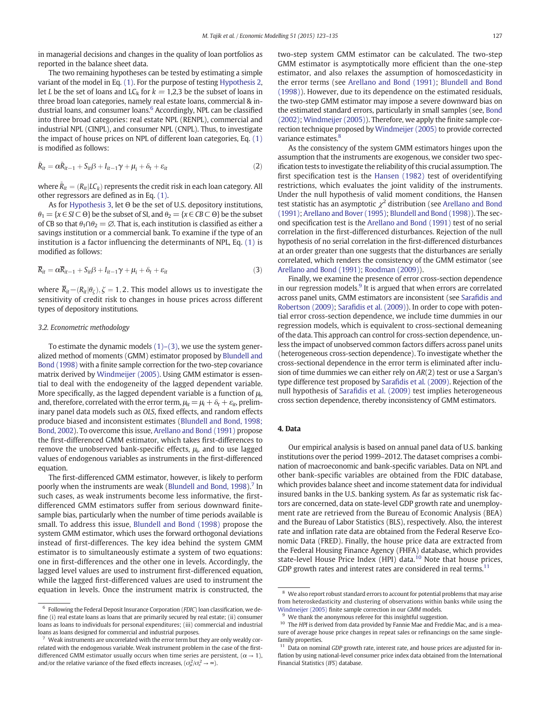<span id="page-4-0"></span>in managerial decisions and changes in the quality of loan portfolios as reported in the balance sheet data.

The two remaining hypotheses can be tested by estimating a simple variant of the model in Eq. [\(1\)](#page-3-0). For the purpose of testing [Hypothesis 2,](#page-3-0) let L be the set of loans and LC<sub>k</sub> for  $k = 1,2,3$  be the subset of loans in three broad loan categories, namely real estate loans, commercial & industrial loans, and consumer loans.<sup>6</sup> Accordingly, NPL can be classified into three broad categories: real estate NPL (RENPL), commercial and industrial NPL (CINPL), and consumer NPL (CNPL). Thus, to investigate the impact of house prices on NPL of different loan categories, Eq. [\(1\)](#page-3-0) is modified as follows:

$$
\tilde{R}_{it} = \alpha \tilde{R}_{it-1} + S_{it}\beta + I_{it-1}\gamma + \mu_i + \delta_t + \varepsilon_{it}
$$
\n(2)

where  $\tilde{R}_{it} = (R_{it} | LC_k)$  represents the credit risk in each loan category. All other regressors are defined as in Eq. [\(1\).](#page-3-0)

As for [Hypothesis 3,](#page-3-0) let Θ be the set of U.S. depository institutions,  $\theta_1 = \{x \in SI \subset \Theta\}$  be the subset of SI, and  $\theta_2 = \{x \in CB \subset \Theta\}$  be the subset of CB so that  $\theta_1 \cap \theta_2 = \emptyset$ . That is, each institution is classified as either a savings institution or a commercial bank. To examine if the type of an institution is a factor influencing the determinants of NPL, Eq. [\(1\)](#page-3-0) is modified as follows:

$$
R_{it} = \alpha R_{it-1} + S_{it}\beta + I_{it-1}\gamma + \mu_i + \delta_t + \varepsilon_{it}
$$
\n(3)

where  $\overline{R}_{it}$  −( $R_{it}$ | $\theta_{\zeta}$ ),  $\zeta$  = 1, 2. This model allows us to investigate the sensitivity of credit risk to changes in house prices across different types of depository institutions.

# 3.2. Econometric methodology

To estimate the dynamic models  $(1)$ – $(3)$ , we use the system generalized method of moments (GMM) estimator proposed by [Blundell and](#page-11-0) [Bond \(1998\)](#page-11-0) with a finite sample correction for the two-step covariance matrix derived by [Windmeijer \(2005\)](#page-12-0). Using GMM estimator is essential to deal with the endogeneity of the lagged dependent variable. More specifically, as the lagged dependent variable is a function of  $\mu_i$ , and, therefore, correlated with the error term,  $\mu_i = \mu_i + \delta_t + \varepsilon_i$ , preliminary panel data models such as OLS, fixed effects, and random effects produce biased and inconsistent estimates [\(Blundell and Bond, 1998;](#page-11-0) [Bond, 2002](#page-11-0)). To overcome this issue, [Arellano and Bond \(1991\)](#page-11-0) propose the first-differenced GMM estimator, which takes first-differences to remove the unobserved bank-specific effects,  $\mu_i$ , and to use lagged values of endogenous variables as instruments in the first-differenced equation.

The first-differenced GMM estimator, however, is likely to perform poorly when the instruments are weak [\(Blundell and Bond, 1998\)](#page-11-0).<sup>7</sup> In such cases, as weak instruments become less informative, the firstdifferenced GMM estimators suffer from serious downward finitesample bias, particularly when the number of time periods available is small. To address this issue, [Blundell and Bond \(1998\)](#page-11-0) propose the system GMM estimator, which uses the forward orthogonal deviations instead of first-differences. The key idea behind the system GMM estimator is to simultaneously estimate a system of two equations: one in first-differences and the other one in levels. Accordingly, the lagged level values are used to instrument first-differenced equation, while the lagged first-differenced values are used to instrument the equation in levels. Once the instrument matrix is constructed, the two-step system GMM estimator can be calculated. The two-step GMM estimator is asymptotically more efficient than the one-step estimator, and also relaxes the assumption of homoscedasticity in the error terms (see [Arellano and Bond \(1991\)](#page-11-0); [Blundell and Bond](#page-11-0) [\(1998\)\)](#page-11-0). However, due to its dependence on the estimated residuals, the two-step GMM estimator may impose a severe downward bias on the estimated standard errors, particularly in small samples (see, [Bond](#page-11-0) [\(2002\)](#page-11-0); [Windmeijer \(2005\)](#page-12-0)). Therefore, we apply the finite sample correction technique proposed by [Windmeijer \(2005\)](#page-12-0) to provide corrected variance estimates.<sup>8</sup>

As the consistency of the system GMM estimators hinges upon the assumption that the instruments are exogenous, we consider two specification tests to investigate the reliability of this crucial assumption. The first specification test is the [Hansen \(1982\)](#page-12-0) test of overidentifying restrictions, which evaluates the joint validity of the instruments. Under the null hypothesis of valid moment conditions, the Hansen test statistic has an asymptotic  $\chi^2$  distribution (see [Arellano and Bond](#page-11-0) [\(1991\)](#page-11-0); [Arellano and Bover \(1995\);](#page-11-0) [Blundell and Bond \(1998\)](#page-11-0)). The second specification test is the [Arellano and Bond \(1991\)](#page-11-0) test of no serial correlation in the first-differenced disturbances. Rejection of the null hypothesis of no serial correlation in the first-differenced disturbances at an order greater than one suggests that the disturbances are serially correlated, which renders the consistency of the GMM estimator (see [Arellano and Bond \(1991\);](#page-11-0) [Roodman \(2009\)\)](#page-12-0).

Finally, we examine the presence of error cross-section dependence in our regression models.<sup>9</sup> It is argued that when errors are correlated across panel units, GMM estimators are inconsistent (see Sarafi[dis and](#page-12-0) [Robertson \(2009\)](#page-12-0); Sarafi[dis et al. \(2009\)\)](#page-12-0). In order to cope with potential error cross-section dependence, we include time dummies in our regression models, which is equivalent to cross-sectional demeaning of the data. This approach can control for cross-section dependence, unless the impact of unobserved common factors differs across panel units (heterogeneous cross-section dependence). To investigate whether the cross-sectional dependence in the error term is eliminated after inclusion of time dummies we can either rely on AR(2) test or use a Sargan's type difference test proposed by Sarafi[dis et al. \(2009\)](#page-12-0). Rejection of the null hypothesis of Sarafi[dis et al. \(2009\)](#page-12-0) test implies heterogeneous cross section dependence, thereby inconsistency of GMM estimators.

# 4. Data

Our empirical analysis is based on annual panel data of U.S. banking institutions over the period 1999–2012. The dataset comprises a combination of macroeconomic and bank-specific variables. Data on NPL and other bank-specific variables are obtained from the FDIC database, which provides balance sheet and income statement data for individual insured banks in the U.S. banking system. As far as systematic risk factors are concerned, data on state-level GDP growth rate and unemployment rate are retrieved from the Bureau of Economic Analysis (BEA) and the Bureau of Labor Statistics (BLS), respectively. Also, the interest rate and inflation rate data are obtained from the Federal Reserve Economic Data (FRED). Finally, the house price data are extracted from the Federal Housing Finance Agency (FHFA) database, which provides state-level House Price Index (HPI) data.<sup>10</sup> Note that house prices, GDP growth rates and interest rates are considered in real terms.<sup>11</sup>

 $6$  Following the Federal Deposit Insurance Corporation (FDIC) loan classification, we define (i) real estate loans as loans that are primarily secured by real estate; (ii) consumer loans as loans to individuals for personal expenditures; (iii) commercial and industrial loans as loans designed for commercial and industrial purposes.

Weak instruments are uncorrelated with the error term but they are only weakly correlated with the endogenous variable. Weak instrument problem in the case of the firstdifferenced GMM estimator usually occurs when time series are persistent,  $(\alpha \rightarrow 1)$ , and/or the relative variance of the fixed effects increases,  $(\sigma_\mu^2/\sigma_\varepsilon^2 \to \infty)$ .

<sup>&</sup>lt;sup>8</sup> We also report robust standard errors to account for potential problems that may arise from heteroskedasticity and clustering of observations within banks while using the [Windmeijer \(2005\)](#page-12-0) finite sample correction in our GMM models.

<sup>&</sup>lt;sup>9</sup> We thank the anonymous referee for this insightful suggestion.

<sup>&</sup>lt;sup>10</sup> The HPI is derived from data provided by Fannie Mae and Freddie Mac, and is a measure of average house price changes in repeat sales or refinancings on the same singlefamily properties.

 $11$  Data on nominal GDP growth rate, interest rate, and house prices are adjusted for inflation by using national-level consumer price index data obtained from the International Financial Statistics (IFS) database.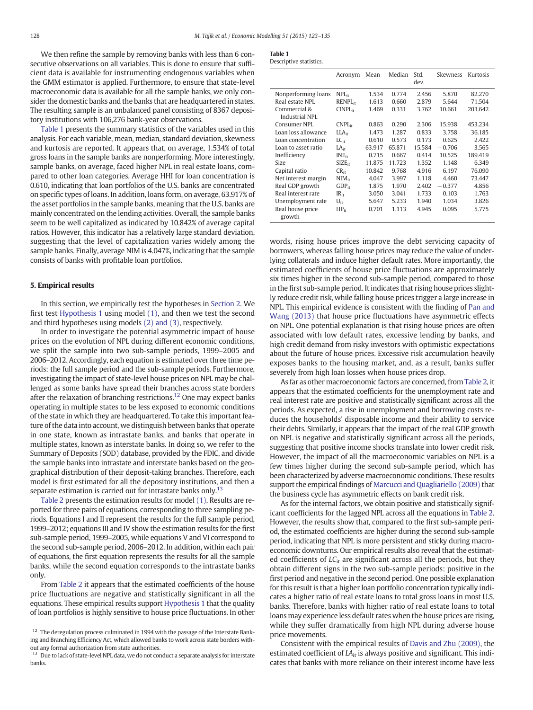<span id="page-5-0"></span>We then refine the sample by removing banks with less than 6 consecutive observations on all variables. This is done to ensure that sufficient data is available for instrumenting endogenous variables when the GMM estimator is applied. Furthermore, to ensure that state-level macroeconomic data is available for all the sample banks, we only consider the domestic banks and the banks that are headquartered in states. The resulting sample is an unbalanced panel consisting of 8367 depository institutions with 106,276 bank-year observations.

Table 1 presents the summary statistics of the variables used in this analysis. For each variable, mean, median, standard deviation, skewness and kurtosis are reported. It appears that, on average, 1.534% of total gross loans in the sample banks are nonperforming. More interestingly, sample banks, on average, faced higher NPL in real estate loans, compared to other loan categories. Average HHI for loan concentration is 0.610, indicating that loan portfolios of the U.S. banks are concentrated on specific types of loans. In addition, loans form, on average, 63.917% of the asset portfolios in the sample banks, meaning that the U.S. banks are mainly concentrated on the lending activities. Overall, the sample banks seem to be well capitalized as indicated by 10.842% of average capital ratios. However, this indicator has a relatively large standard deviation, suggesting that the level of capitalization varies widely among the sample banks. Finally, average NIM is 4.047%, indicating that the sample consists of banks with profitable loan portfolios.

# 5. Empirical results

In this section, we empirically test the hypotheses in [Section 2](#page-2-0). We first test [Hypothesis 1](#page-3-0) using model [\(1\)](#page-3-0), and then we test the second and third hypotheses using models [\(2\) and \(3\),](#page-4-0) respectively.

In order to investigate the potential asymmetric impact of house prices on the evolution of NPL during different economic conditions, we split the sample into two sub-sample periods, 1999–2005 and 2006–2012. Accordingly, each equation is estimated over three time periods: the full sample period and the sub-sample periods. Furthermore, investigating the impact of state-level house prices on NPL may be challenged as some banks have spread their branches across state borders after the relaxation of branching restrictions.<sup>12</sup> One may expect banks operating in multiple states to be less exposed to economic conditions of the state in which they are headquartered. To take this important feature of the data into account, we distinguish between banks that operate in one state, known as intrastate banks, and banks that operate in multiple states, known as interstate banks. In doing so, we refer to the Summary of Deposits (SOD) database, provided by the FDIC, and divide the sample banks into intrastate and interstate banks based on the geographical distribution of their deposit-taking branches. Therefore, each model is first estimated for all the depository institutions, and then a separate estimation is carried out for intrastate banks only. $13$ 

[Table 2](#page-6-0) presents the estimation results for model [\(1\).](#page-3-0) Results are reported for three pairs of equations, corresponding to three sampling periods. Equations I and II represent the results for the full sample period, 1999–2012; equations III and IV show the estimation results for the first sub-sample period, 1999–2005, while equations V and VI correspond to the second sub-sample period, 2006–2012. In addition, within each pair of equations, the first equation represents the results for all the sample banks, while the second equation corresponds to the intrastate banks only.

From [Table 2](#page-6-0) it appears that the estimated coefficients of the house price fluctuations are negative and statistically significant in all the equations. These empirical results support [Hypothesis 1](#page-3-0) that the quality of loan portfolios is highly sensitive to house price fluctuations. In other

| Table 1                 |  |
|-------------------------|--|
| Descriptive statistics. |  |

|                            | Acronym        | Mean   | Median | Std.<br>dev. | <b>Skewness</b> | Kurtosis |
|----------------------------|----------------|--------|--------|--------------|-----------------|----------|
| Nonperforming loans        | $NPL_{it}$     | 1.534  | 0.774  | 2.456        | 5.870           | 82.270   |
| Real estate NPL            | <b>RENPLit</b> | 1.613  | 0.660  | 2.879        | 5.644           | 71.504   |
| Commercial &               | $CINPL_{it}$   | 1.469  | 0.331  | 3.762        | 10.661          | 203.642  |
| Industrial NPL             |                |        |        |              |                 |          |
| Consumer NPL               | $CNPL_{it}$    | 0.863  | 0.290  | 2.306        | 15.938          | 453.234  |
| Loan loss allowance        | $LLA_{it}$     | 1.473  | 1.287  | 0.833        | 3.758           | 36.185   |
| Loan concentration         | $LC_{it}$      | 0.610  | 0.573  | 0.173        | 0.625           | 2.422    |
| Loan to asset ratio        | $LA_{it}$      | 63.917 | 65.871 | 15.584       | $-0.706$        | 3.565    |
| Inefficiency               | $INE_{it}$     | 0.715  | 0.667  | 0.414        | 10.525          | 189.419  |
| <b>Size</b>                | $SIZE_{it}$    | 11.875 | 11.723 | 1.352        | 1.148           | 6.349    |
| Capital ratio              | $CR_{it}$      | 10.842 | 9.768  | 4.916        | 6.197           | 76.090   |
| Net interest margin        | $NIM_{it}$     | 4.047  | 3.997  | 1.118        | 4.460           | 73.447   |
| Real GDP growth            | $GDP_{it}$     | 1.875  | 1.970  | 2.402        | $-0.377$        | 4.856    |
| Real interest rate         | $IR_{it}$      | 3.050  | 3.041  | 1.733        | 0.103           | 1.763    |
| Unemployment rate          | $U_{it}$       | 5.647  | 5.233  | 1.940        | 1.034           | 3.826    |
| Real house price<br>growth | $HP_{it}$      | 0.701  | 1.113  | 4.945        | 0.095           | 5.775    |

words, rising house prices improve the debt servicing capacity of borrowers, whereas falling house prices may reduce the value of underlying collaterals and induce higher default rates. More importantly, the estimated coefficients of house price fluctuations are approximately six times higher in the second sub-sample period, compared to those in the first sub-sample period. It indicates that rising house prices slightly reduce credit risk, while falling house prices trigger a large increase in NPL. This empirical evidence is consistent with the finding of [Pan and](#page-12-0) [Wang \(2013\)](#page-12-0) that house price fluctuations have asymmetric effects on NPL. One potential explanation is that rising house prices are often associated with low default rates, excessive lending by banks, and high credit demand from risky investors with optimistic expectations about the future of house prices. Excessive risk accumulation heavily exposes banks to the housing market, and, as a result, banks suffer severely from high loan losses when house prices drop.

As far as other macroeconomic factors are concerned, from [Table 2](#page-6-0), it appears that the estimated coefficients for the unemployment rate and real interest rate are positive and statistically significant across all the periods. As expected, a rise in unemployment and borrowing costs reduces the households' disposable income and their ability to service their debts. Similarly, it appears that the impact of the real GDP growth on NPL is negative and statistically significant across all the periods, suggesting that positive income shocks translate into lower credit risk. However, the impact of all the macroeconomic variables on NPL is a few times higher during the second sub-sample period, which has been characterized by adverse macroeconomic conditions. These results support the empirical findings of [Marcucci and Quagliariello \(2009\)](#page-12-0) that the business cycle has asymmetric effects on bank credit risk.

As for the internal factors, we obtain positive and statistically significant coefficients for the lagged NPL across all the equations in [Table 2.](#page-6-0) However, the results show that, compared to the first sub-sample period, the estimated coefficients are higher during the second sub-sample period, indicating that NPL is more persistent and sticky during macroeconomic downturns. Our empirical results also reveal that the estimated coefficients of  $LC_{it}$  are significant across all the periods, but they obtain different signs in the two sub-sample periods: positive in the first period and negative in the second period. One possible explanation for this result is that a higher loan portfolio concentration typically indicates a higher ratio of real estate loans to total gross loans in most U.S. banks. Therefore, banks with higher ratio of real estate loans to total loans may experience less default rates when the house prices are rising, while they suffer dramatically from high NPL during adverse house price movements.

Consistent with the empirical results of [Davis and Zhu \(2009\),](#page-11-0) the estimated coefficient of  $LA_{it}$  is always positive and significant. This indicates that banks with more reliance on their interest income have less

 $12$  The deregulation process culminated in 1994 with the passage of the Interstate Banking and Branching Efficiency Act, which allowed banks to work across state borders without any formal authorization from state authorities.

<sup>&</sup>lt;sup>13</sup> Due to lack of state-level NPL data, we do not conduct a separate analysis for interstate banks.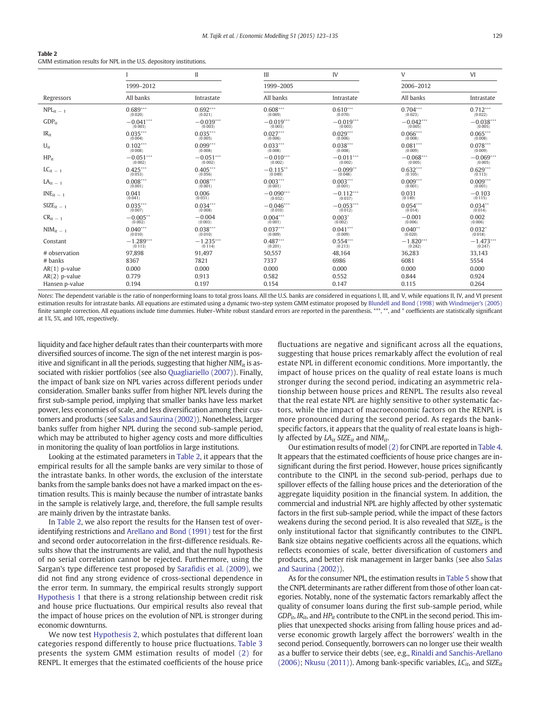<span id="page-6-0"></span>

| Table 2                                                             |  |
|---------------------------------------------------------------------|--|
| GMM estimation results for NPL in the U.S. depository institutions. |  |

|                 |                   | $\mathbf{I}$          | $\rm III$             | IV                    | V                     | VI                    |
|-----------------|-------------------|-----------------------|-----------------------|-----------------------|-----------------------|-----------------------|
|                 | 1999-2012         |                       | 1999-2005             |                       | 2006-2012             |                       |
| Regressors      | All banks         | Intrastate            | All banks             | Intrastate            | All banks             | Intrastate            |
| $NPL_{it} = 1$  | $0.689***$        | $0.692***$            | $0.608***$            | $0.610***$            | $0.704***$            | $0.712***$            |
|                 | (0.020)           | (0.021)               | (0.069)               | (0.070)               | (0.023)               | (0.022)               |
| $GDP_{it}$      | $-0.041***$       | $-0.039***$           | $-0.019***$           | $-0.019***$           | $-0.042***$           | $-0.038***$           |
|                 | (0.003)           | (0.003)               | (0.003)               | (0.003)               | (0.005)               | (0.005)               |
| $IR_{it}$       | $0.035***$        | $0.035***$            | $0.027***$            | $0.029***$            | $0.066***$            | $0.065***$            |
|                 | (0.004)           | (0.005)               | (0.006)               | (0.006)               | (0.008)               | (0.008)               |
| $U_{it}$        | $0.102***$        | $0.099***$            | $0.033***$            | $0.038***$            | $0.081***$            | $0.078***$            |
|                 | (0.008)           | (0.008)               | (0.008)               | (0.008)               | (0.009)               | (0.009)               |
| $HP_{it}$       | $-0.051***$       | $-0.051***$           | $-0.010***$           | $-0.011***$           | $-0.068***$           | $-0.069***$           |
|                 | (0.002)           | (0.002)               | (0.002)               | (0.002)               | (0.005)               | (0.005)               |
| $LC_{it} = 1$   | $0.425***(0.053)$ | $0.405***$<br>(0.056) | $-0.115**$<br>(0.049) | $-0.099**$<br>(0.048) | $0.632***$<br>(0.105) | $0.629***$<br>(0.113) |
| $LA_{it} = 1$   | $0.008***$        | $0.008***$            | $0.003***$            | $0.003***$            | $0.009***$            | $0.009***$            |
|                 | (0.001)           | (0.001)               | (0.001)               | (0.001)               | (0.001)               | (0.001)               |
| $INE_{it} = 1$  | 0.041             | 0.006                 | $-0.090***$           | $-0.112***$           | 0.031                 | $-0.103$              |
|                 | (0.041)           | (0.031)               | (0.032)               | (0.037)               | (0.149)               | (0.115)               |
| $SIZE_{it} = 1$ | $0.035***$        | $0.034***$            | $-0.046***$           | $-0.053***$           | $0.054***$            | $0.034***$            |
|                 | (0.007)           | (0.008)               | (0.010)               | (0.012)               | (0.014)               | (0.014)               |
| $CR_{it} = 1$   | $-0.005**$        | $-0.004$              | $0.004***$            | $0.003*$              | $-0.001$              | 0.002                 |
|                 | (0.002)           | (0.003)               | (0.001)               | (0.002)               | (0.006)               | (0.006)               |
| $NIM_{it} = 1$  | $0.040***$        | $0.038***$            | $0.037***$            | $0.041***$            | $0.040**$             | $0.032*$              |
|                 | (0.010)           | (0.010)               | (0.009)               | (0.009)               | (0.020)               | (0.018)               |
| Constant        | $-1.289***$       | $-1.235***$           | $0.487***$            | $0.554***$            | $-1.820***$           | $-1.473***$           |
|                 | (0.113)           | (0.114)               | (0.201)               | (0.213)               | (0.282)               | (0.247)               |
| # observation   | 97,898            | 91,497                | 50,557                | 48,164                | 36,283                | 33,143                |
| # banks         | 8367              | 7821                  | 7337                  | 6986                  | 6081                  | 5554                  |
| $AR(1)$ p-value | 0.000             | 0.000                 | 0.000                 | 0.000                 | 0.000                 | 0.000                 |
| $AR(2)$ p-value | 0.779             | 0.913                 | 0.582                 | 0.552                 | 0.844                 | 0.924                 |
| Hansen p-value  | 0.194             | 0.197                 | 0.154                 | 0.147                 | 0.115                 | 0.264                 |

Notes: The dependent variable is the ratio of nonperforming loans to total gross loans. All the U.S. banks are considered in equations I, III, and V, while equations II, IV, and VI present estimation results for intrastate banks. All equations are estimated using a dynamic two-step system GMM estimator proposed by [Blundell and Bond \(1998\)](#page-11-0) with [Windmeijer's \(2005\)](#page-12-0) finite sample correction. All equations include time dummies. Huber–White robust standard errors are reported in the parenthesis. \*\*\*, \*\*, and \* coefficients are statistically significant at 1%, 5%, and 10%, respectively.

liquidity and face higher default rates than their counterparts with more diversified sources of income. The sign of the net interest margin is positive and significant in all the periods, suggesting that higher  $NIM_{it}$  is associated with riskier portfolios (see also [Quagliariello \(2007\)\)](#page-12-0). Finally, the impact of bank size on NPL varies across different periods under consideration. Smaller banks suffer from higher NPL levels during the first sub-sample period, implying that smaller banks have less market power, less economies of scale, and less diversification among their customers and products (see [Salas and Saurina \(2002\)\)](#page-12-0). Nonetheless, larger banks suffer from higher NPL during the second sub-sample period, which may be attributed to higher agency costs and more difficulties in monitoring the quality of loan portfolios in large institutions.

Looking at the estimated parameters in Table 2, it appears that the empirical results for all the sample banks are very similar to those of the intrastate banks. In other words, the exclusion of the interstate banks from the sample banks does not have a marked impact on the estimation results. This is mainly because the number of intrastate banks in the sample is relatively large, and, therefore, the full sample results are mainly driven by the intrastate banks.

In Table 2, we also report the results for the Hansen test of overidentifying restrictions and [Arellano and Bond \(1991\)](#page-11-0) test for the first and second order autocorrelation in the first-difference residuals. Results show that the instruments are valid, and that the null hypothesis of no serial correlation cannot be rejected. Furthermore, using the Sargan's type difference test proposed by Sarafi[dis et al. \(2009\)](#page-12-0), we did not find any strong evidence of cross-sectional dependence in the error term. In summary, the empirical results strongly support [Hypothesis 1](#page-3-0) that there is a strong relationship between credit risk and house price fluctuations. Our empirical results also reveal that the impact of house prices on the evolution of NPL is stronger during economic downturns.

We now test [Hypothesis 2,](#page-3-0) which postulates that different loan categories respond differently to house price fluctuations. [Table 3](#page-7-0) presents the system GMM estimation results of model [\(2\)](#page-4-0) for RENPL. It emerges that the estimated coefficients of the house price fluctuations are negative and significant across all the equations, suggesting that house prices remarkably affect the evolution of real estate NPL in different economic conditions. More importantly, the impact of house prices on the quality of real estate loans is much stronger during the second period, indicating an asymmetric relationship between house prices and RENPL. The results also reveal that the real estate NPL are highly sensitive to other systematic factors, while the impact of macroeconomic factors on the RENPL is more pronounced during the second period. As regards the bankspecific factors, it appears that the quality of real estate loans is highly affected by  $LA_{it}$  SIZE<sub>it</sub> and NIM<sub>it</sub>.

Our estimation results of model [\(2\)](#page-4-0) for CINPL are reported in [Table 4.](#page-7-0) It appears that the estimated coefficients of house price changes are insignificant during the first period. However, house prices significantly contribute to the CINPL in the second sub-period, perhaps due to spillover effects of the falling house prices and the deterioration of the aggregate liquidity position in the financial system. In addition, the commercial and industrial NPL are highly affected by other systematic factors in the first sub-sample period, while the impact of these factors weakens during the second period. It is also revealed that  $SIZE_{it}$  is the only institutional factor that significantly contributes to the CINPL. Bank size obtains negative coefficients across all the equations, which reflects economies of scale, better diversification of customers and products, and better risk management in larger banks (see also [Salas](#page-12-0) [and Saurina \(2002\)](#page-12-0)).

As for the consumer NPL, the estimation results in [Table 5](#page-8-0) show that the CNPL determinants are rather different from those of other loan categories. Notably, none of the systematic factors remarkably affect the quality of consumer loans during the first sub-sample period, while  $GDP_{it}$ , IR<sub>it</sub>, and HP<sub>it</sub> contribute to the CNPL in the second period. This implies that unexpected shocks arising from falling house prices and adverse economic growth largely affect the borrowers' wealth in the second period. Consequently, borrowers can no longer use their wealth as a buffer to service their debts (see, e.g., [Rinaldi and Sanchis-Arellano](#page-12-0) [\(2006\);](#page-12-0) [Nkusu \(2011\)\)](#page-12-0). Among bank-specific variables,  $LC_{it}$ , and SIZ $E_{it}$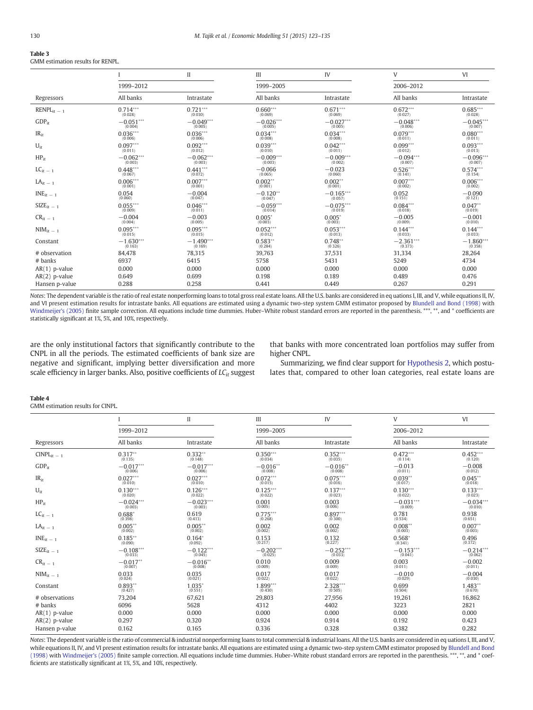#### <span id="page-7-0"></span>Table 3 GMM estimation results for RENPL.

|                        |                     | $\mathbf{I}$        | $\rm III$           | IV                  | V                   | VI                          |
|------------------------|---------------------|---------------------|---------------------|---------------------|---------------------|-----------------------------|
|                        | 1999-2012           |                     | 1999-2005           |                     |                     |                             |
| Regressors             | All banks           | Intrastate          | All banks           | Intrastate          | All banks           | Intrastate                  |
| $RENPL_{it} = 1$       | $0.714***$          | $0.721***$          | $0.660***$          | $0.671***$          | $0.672***$          | $0.685***$                  |
|                        | (0.028)             | (0.030)             | (0.069)             | (0.069)             | (0.027)             | (0.028)                     |
| $GDP_{it}$             | $-0.051***$         | $-0.049***$         | $-0.026***$         | $-0.027***$         | $-0.048***$         | $-0.045***$                 |
|                        | (0.004)             | (0.005)             | (0.005)             | (0.005)             | (0.006)             | (0.007)                     |
| $IR_{it}$              | $0.036***$          | $0.036***$          | $0.034***$          | $0.034***$          | $0.079***$          | $0.080***$                  |
|                        | (0.006)             | (0.006)             | (0.008)             | (0.008)             | (0.011)             | (0.011)                     |
| $U_{it}$               | $0.097***$          | $0.092***$          | $0.039***$          | $0.042***$          | $0.099***$          | $0.093***$                  |
|                        | (0.011)             | (0.012)             | (0.010)             | (0.011)             | (0.012)             | (0.013)                     |
| $HP_{it}$              | $-0.062***$         | $-0.062***$         | $-0.009***$         | $-0.009***$         | $-0.094***$         | $-0.096***$                 |
|                        | (0.003)             | (0.003)             | (0.003)             | (0.002)             | (0.007)             | (0.007)                     |
| $LC_{it} = 1$          | $0.448***$          | $0.441***$          | $-0.066$            | $-0.023$            | $0.526***$          | $0.574***$                  |
|                        | (0.067)             | (0.072)             | (0.065)             | (0.060)             | (0.141)             | (0.154)                     |
| $LA_{it} = 1$          | $0.006***$          | $0.007***$          | $0.002***$          | $0.002**$           | $0.007***$          | $0.006***$                  |
|                        | (0.001)             | (0.001)             | (0.001)             | (0.001)             | (0.002)             | (0.002)                     |
| $INE_{it} = 1$         | 0.054               | $-0.004$            | $-0.120**$          | $-0.165***$         | 0.052               | $-0.090$                    |
|                        | (0.060)             | (0.047)             | (0.047)             | (0.057)             | (0.151)             | (0.121)                     |
| $\text{SIZE}_{it} = 1$ | $0.055***$          | $0.046***$          | $-0.059***$         | $-0.075***$         | $0.084***$          | $0.047**$                   |
|                        | (0.009)             | (0.011)             | (0.014)             | (0.019)             | (0.018)             | (0.019)                     |
| $CR_{it} = 1$          | $-0.004$<br>(0.004) | $-0.003$<br>(0.005) | $0.005*$<br>(0.003) | $0.005*$<br>(0.003) | $-0.005$<br>(0.009) | $-0.001$ <sub>(0.010)</sub> |
| $\text{NIM}_{it} = 1$  | $0.095***$          | $0.095***$          | $0.052***$          | $0.053***$          | $0.144***$          | $0.144***$                  |
|                        | (0.015)             | (0.015)             | (0.012)             | (0.013)             | (0.033)             | (0.033)                     |
| Constant               | $-1.630***$         | $-1.490***$         | $0.583**$           | $0.748**$           | $-2.361***$         | $-1.860***$                 |
|                        | (0.163)             | (0.169)             | (0.284)             | (0.326)             | (0.373)             | (0.358)                     |
| # observation          | 84,478              | 78,315              | 39,763              | 37,531              | 31,334              | 28,264                      |
| # banks                | 6937                | 6415                | 5758                | 5431                | 5249                | 4734                        |
| $AR(1)$ p-value        | 0.000               | 0.000               | 0.000               | 0.000               | 0.000               | 0.000                       |
| $AR(2)$ p-value        | 0.649               | 0.699               | 0.198               | 0.189               | 0.489               | 0.476                       |
| Hansen p-value         | 0.288               | 0.258               | 0.441               | 0.449               | 0.267               | 0.291                       |

Notes: The dependent variable is the ratio of real estate nonperforming loans to total gross real estate loans. All the U.S. banks are considered in eq uations I, III, and V, while equations II, IV, and VI present estimation results for intrastate banks. All equations are estimated using a dynamic two-step system GMM estimator proposed by [Blundell and Bond \(1998\)](#page-11-0) with [Windmeijer's \(2005\)](#page-12-0) finite sample correction. All equations include time dummies. Huber–White robust standard errors are reported in the parenthesis. \*\*\*, \*\*, and \* coefficients are statistically significant at 1%, 5%, and 10%, respectively.

are the only institutional factors that significantly contribute to the CNPL in all the periods. The estimated coefficients of bank size are negative and significant, implying better diversification and more scale efficiency in larger banks. Also, positive coefficients of  $LC_{it}$  suggest

that banks with more concentrated loan portfolios may suffer from higher CNPL.

Summarizing, we find clear support for [Hypothesis 2,](#page-3-0) which postulates that, compared to other loan categories, real estate loans are

#### Table 4

GMM estimation results for CINPL.

|                         |                      | П                    | Ш                     | IV                    | V                 | VI                    |
|-------------------------|----------------------|----------------------|-----------------------|-----------------------|-------------------|-----------------------|
|                         | 1999-2012            |                      | 1999-2005             |                       | 2006-2012         |                       |
| Regressors              | All banks            | Intrastate           | All banks             | Intrastate            | All banks         | Intrastate            |
| $\text{CINPL}_{it} = 1$ | $0.317**$<br>(0.135) | $0.332**$<br>(0.148) | $0.350***$<br>(0.034) | $0.352***$<br>(0.035) | $0.472***(0.114)$ | $0.452***$<br>(0.120) |
| $GDP_{it}$              | $-0.017***$          | $-0.017***$          | $-0.016**$            | $-0.016**$            | $-0.013$          | $-0.008$              |
|                         | (0.006)              | (0.006)              | (0.008)               | (0.008)               | (0.011)           | (0.012)               |
| $IR_{it}$               | $0.027***$           | $0.027***$           | $0.072***$            | $0.075***$            | $0.039**$         | $0.045***$            |
|                         | (0.010)              | (0.010)              | (0.015)               | (0.016)               | (0.017)           | (0.018)               |
| $U_{it}$                | $0.130***$           | $0.126***$           | $0.125***$            | $0.137***$            | $0.130***$        | $0.133***$            |
|                         | (0.020)              | (0.022)              | (0.022)               | (0.023)               | (0.022)           | (0.023)               |
| $HP_{it}$               | $-0.024***$          | $-0.023***$          | 0.001                 | 0.003                 | $-0.031***$       | $-0.034***$           |
|                         | (0.003)              | (0.003)              | (0.005)               | (0.006)               | (0.009)           | (0.010)               |
| $LC_{it} = 1$           | $0.688*$             | 0.619                | $0.775***$            | $0.897***$            | 0.781             | 0.938                 |
|                         | (0.398)              | (0.413)              | (0.268)               | (0.300)               | (0.534)           | (0.651)               |
| $LA_{it} = 1$           | $0.005***$           | $0.005***$           | 0.002                 | 0.002                 | $0.008**$         | $0.007***$            |
|                         | (0.002)              | (0.002)              | (0.002)               | (0.002)               | (0.003)           | (0.003)               |
| $INE_{it}={\bf 1}$      | $0.185**$            | $0.164*$             | 0.153                 | 0.132                 | $0.568*$          | 0.496                 |
|                         | (0.090)              | (0.092)              | (0.217)               | (0.227)               | (0.341)           | (0.372)               |
| $SIZE_{it} = 1$         | $-0.108***$          | $-0.122***$          | $-0.202***$           | $-0.252***$           | $-0.153***$       | $-0.214***$           |
|                         | (0.033)              | (0.045)              | (0.025)               | (0.033)               | (0.041)           | (0.062)               |
| $CR_{it} = 1$           | $-0.017**$           | $-0.016**$           | 0.010                 | 0.009                 | 0.003             | $-0.002$              |
|                         | (0.007)              | (0.008)              | (0.009)               | (0.009)               | (0.011)           | (0.011)               |
| $NIM_{it} = 1$          | 0.033                | 0.035                | 0.017                 | 0.017                 | $-0.010$          | $-0.004$              |
|                         | (0.024)              | (0.021)              | (0.022)               | (0.022)               | (0.029)           | (0.030)               |
| Constant                | $0.893**$            | $1.035*$             | $1.899***$            | $2.328***$            | 0.699             | $1.483**$             |
|                         | (0.427)              | (0.551)              | (0.430)               | (0.505)               | (0.504)           | (0.670)               |
| # observations          | 73,204               | 67,621               | 29,803                | 27,956                | 19,261            | 16,862                |
| $#$ banks               | 6096                 | 5628                 | 4312                  | 4402                  | 3223              | 2821                  |
| $AR(1)$ p-value         | 0.000                | 0.000                | 0.000                 | 0.000                 | 0.000             | 0.000                 |
| $AR(2)$ p-value         | 0.297                | 0.320                | 0.924                 | 0.914                 | 0.192             | 0.423                 |
| Hansen p-value          | 0.162                | 0.165                | 0.336                 | 0.328                 | 0.382             | 0.282                 |

Notes: The dependent variable is the ratio of commercial & industrial nonperforming loans to total commercial & industrial loans. All the U.S. banks are considered in eq uations I, III, and V, while equations II, IV, and VI present estimation results for intrastate banks. All equations are estimated using a dynamic two-step system GMM estimator proposed by [Blundell and Bond](#page-11-0) [\(1998\)](#page-11-0) with [Windmeijer's \(2005\)](#page-12-0) finite sample correction. All equations include time dummies. Huber–White robust standard errors are reported in the parenthesis. \*\*\*, \*\*, and \* coefficients are statistically significant at 1%, 5%, and 10%, respectively.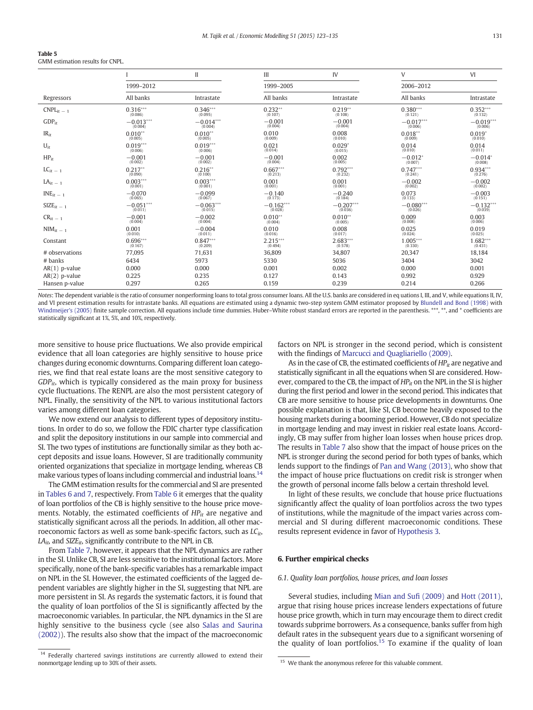<span id="page-8-0"></span>

| Table 5 |                                  |
|---------|----------------------------------|
|         | GMM estimation results for CNPL. |

|                       |             | $\mathbf{I}$ | III         | IV          | V            | VI          |
|-----------------------|-------------|--------------|-------------|-------------|--------------|-------------|
|                       | 1999-2012   |              | 1999-2005   |             | 2006-2012    |             |
| Regressors            | All banks   | Intrastate   | All banks   | Intrastate  | All banks    | Intrastate  |
| $CNPL_{it} = 1$       | $0.316***$  | $0.346***$   | $0.232**$   | $0.219**$   | $0.380***$   | $0.352***$  |
|                       | (0.086)     | (0.095)      | (0.107)     | (0.108)     | (0.121)      | (0.132)     |
| $GDP_{it}$            | $-0.013***$ | $-0.014***$  | $-0.001$    | $-0.001$    | $-0.017***$  | $-0.019***$ |
|                       | (0.004)     | (0.004)      | (0.004)     | (0.004)     | (0.006)      | (0.006)     |
| $IR_{it}$             | $0.010**$   | $0.010**$    | 0.010       | 0.008       | $0.018***$   | $0.019*$    |
|                       | (0.005)     | (0.005)      | (0.009)     | (0.010)     | (0.009)      | (0.010)     |
| $U_{it}$              | $0.019***$  | $0.019***$   | 0.021       | $0.029*$    | 0.014        | 0.014       |
|                       | (0.006)     | (0.006)      | (0.014)     | (0.015)     | (0.010)      | (0.011)     |
| $HP_{it}$             | $-0.001$    | $-0.001$     | $-0.001$    | 0.002       | $-0.012^{*}$ | $-0.014*$   |
|                       | (0.002)     | (0.002)      | (0.004)     | (0.005)     | (0.007)      | (0.008)     |
| $LC_{it} = 1$         | $0.217**$   | $0.216***$   | $0.667***$  | $0.792***$  | $0.747***$   | $0.934***$  |
|                       | (0.090)     | (0.100)      | (0.213)     | (0.232)     | (0.241)      | (0.276)     |
| $LA_{it} = 1$         | $0.003***$  | $0.003***$   | 0.001       | 0.001       | $-0.002$     | $-0.002$    |
|                       | (0.001)     | (0.001)      | (0.001)     | (0.001)     | (0.002)      | (0.002)     |
| $INE_{it} = 1$        | $-0.070$    | $-0.099$     | $-0.140$    | $-0.240$    | 0.073        | $-0.003$    |
|                       | (0.065)     | (0.067)      | (0.173)     | (0.184)     | (0.133)      | (0.151)     |
| $SIZE_{it} = 1$       | $-0.051***$ | $-0.063***$  | $-0.162***$ | $-0.207***$ | $-0.080***$  | $-0.132***$ |
|                       | (0.011)     | (0.015)      | (0.028)     | (0.036)     | (0.026)      | (0.039)     |
| $CR_{it} = 1$         | $-0.001$    | $-0.002$     | $0.010**$   | $0.010**$   | 0.009        | 0.003       |
|                       | (0.004)     | (0.004)      | (0.004)     | (0.005)     | (0.008)      | (0.006)     |
| $\text{NIM}_{it} = 1$ | 0.001       | $-0.004$     | 0.010       | 0.008       | 0.025        | 0.019       |
|                       | (0.010)     | (0.011)      | (0.016)     | (0.017)     | (0.024)      | (0.025)     |
| Constant              | $0.696***$  | $0.847***$   | $2.215***$  | $2.683***$  | $1.005***$   | $1.682***$  |
|                       | (0.167)     | (0.209)      | (0.494)     | (0.578)     | (0.330)      | (0.431)     |
| # observations        | 77,095      | 71,631       | 36,809      | 34,807      | 20,347       | 18,184      |
| # banks               | 6434        | 5973         | 5330        | 5036        | 3404         | 3042        |
| $AR(1)$ p-value       | 0.000       | 0.000        | 0.001       | 0.002       | 0.000        | 0.001       |
| $AR(2)$ p-value       | 0.225       | 0.235        | 0.127       | 0.143       | 0.992        | 0.929       |
| Hansen p-value        | 0.297       | 0.265        | 0.159       | 0.239       | 0.214        | 0.266       |

Notes: The dependent variable is the ratio of consumer nonperforming loans to total gross consumer loans. All the U.S. banks are considered in eq uations I, III, and V, while equations II, IV, and VI present estimation results for intrastate banks. All equations are estimated using a dynamic two-step system GMM estimator proposed by [Blundell and Bond \(1998\)](#page-11-0) with [Windmeijer's \(2005\)](#page-12-0) finite sample correction. All equations include time dummies. Huber-White robust standard errors are reported in the parenthesis. \*\*\*, \*\*, and \* coefficients are statistically significant at 1%, 5%, and 10%, respectively.

more sensitive to house price fluctuations. We also provide empirical evidence that all loan categories are highly sensitive to house price changes during economic downturns. Comparing different loan categories, we find that real estate loans are the most sensitive category to  $GDP_{it}$ , which is typically considered as the main proxy for business cycle fluctuations. The RENPL are also the most persistent category of NPL. Finally, the sensitivity of the NPL to various institutional factors varies among different loan categories.

We now extend our analysis to different types of depository institutions. In order to do so, we follow the FDIC charter type classification and split the depository institutions in our sample into commercial and SI. The two types of institutions are functionally similar as they both accept deposits and issue loans. However, SI are traditionally community oriented organizations that specialize in mortgage lending, whereas CB make various types of loans including commercial and industrial loans.<sup>14</sup>

The GMM estimation results for the commercial and SI are presented in [Tables 6 and 7](#page-9-0), respectively. From [Table 6](#page-9-0) it emerges that the quality of loan portfolios of the CB is highly sensitive to the house price movements. Notably, the estimated coefficients of  $HP_{it}$  are negative and statistically significant across all the periods. In addition, all other macroeconomic factors as well as some bank-specific factors, such as  $LC_{it}$ ,  $LA_{it}$ , and SIZE<sub>it</sub>, significantly contribute to the NPL in CB.

From [Table 7,](#page-9-0) however, it appears that the NPL dynamics are rather in the SI. Unlike CB, SI are less sensitive to the institutional factors. More specifically, none of the bank-specific variables has a remarkable impact on NPL in the SI. However, the estimated coefficients of the lagged dependent variables are slightly higher in the SI, suggesting that NPL are more persistent in SI. As regards the systematic factors, it is found that the quality of loan portfolios of the SI is significantly affected by the macroeconomic variables. In particular, the NPL dynamics in the SI are highly sensitive to the business cycle (see also [Salas and Saurina](#page-12-0) [\(2002\)\)](#page-12-0). The results also show that the impact of the macroeconomic factors on NPL is stronger in the second period, which is consistent with the findings of [Marcucci and Quagliariello \(2009\).](#page-12-0)

As in the case of CB, the estimated coefficients of  $HP_{it}$  are negative and statistically significant in all the equations when SI are considered. However, compared to the CB, the impact of  $HP_{it}$  on the NPL in the SI is higher during the first period and lower in the second period. This indicates that CB are more sensitive to house price developments in downturns. One possible explanation is that, like SI, CB become heavily exposed to the housing markets during a booming period. However, CB do not specialize in mortgage lending and may invest in riskier real estate loans. Accordingly, CB may suffer from higher loan losses when house prices drop. The results in [Table 7](#page-9-0) also show that the impact of house prices on the NPL is stronger during the second period for both types of banks, which lends support to the findings of [Pan and Wang \(2013\),](#page-12-0) who show that the impact of house price fluctuations on credit risk is stronger when the growth of personal income falls below a certain threshold level.

In light of these results, we conclude that house price fluctuations significantly affect the quality of loan portfolios across the two types of institutions, while the magnitude of the impact varies across commercial and SI during different macroeconomic conditions. These results represent evidence in favor of [Hypothesis 3](#page-3-0).

# 6. Further empirical checks

# 6.1. Quality loan portfolios, house prices, and loan losses

Several studies, including [Mian and Su](#page-12-0)fi (2009) and [Hott \(2011\),](#page-12-0) argue that rising house prices increase lenders expectations of future house price growth, which in turn may encourage them to direct credit towards subprime borrowers. As a consequence, banks suffer from high default rates in the subsequent years due to a significant worsening of the quality of loan portfolios.<sup>15</sup> To examine if the quality of loan

<sup>&</sup>lt;sup>14</sup> Federally chartered savings institutions are currently allowed to extend their nonmortgage lending up to 30% of their assets. 15 We thank the anonymous referee for this valuable comment.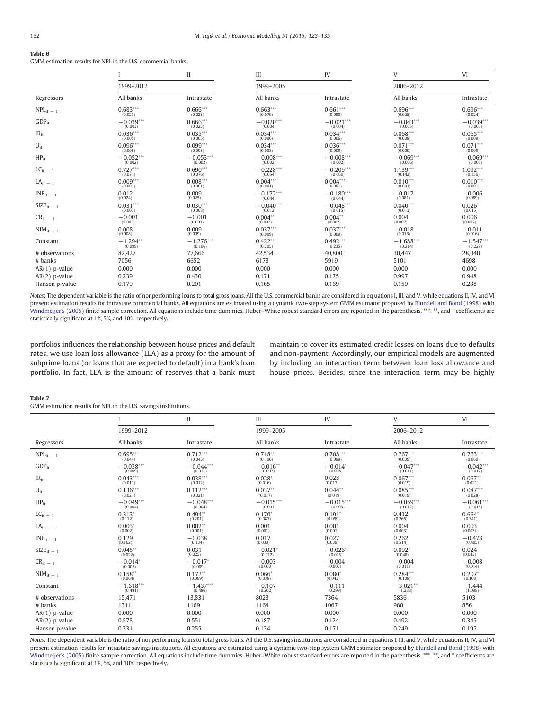# <span id="page-9-0"></span>Table 6

GMM estimation results for NPL in the U.S. commercial banks.

|                       |                        | $\mathbf{I}$           | III                    | IV                     | V                      | VI                     |
|-----------------------|------------------------|------------------------|------------------------|------------------------|------------------------|------------------------|
|                       | 1999-2012              |                        | 1999-2005              |                        |                        |                        |
| Regressors            | All banks              | Intrastate             | All banks              | Intrastate             | All banks              | Intrastate             |
| $\text{NPL}_{it} = 1$ | $0.683***$<br>(0.023)  | $0.666***$<br>(0.023)  | $0.663***$<br>(0.079)  | $0.661***$<br>(0.080)  | $0.696***$<br>(0.025)  | $0.696***$<br>(0.024)  |
| $GDP_{it}$            | $-0.039***$<br>(0.003) | $0.666***$<br>(0.023)  | $-0.020***$<br>(0.004) | $-0.021***$<br>(0.004) | $-0.043***$<br>(0.005) | $-0.039***$<br>(0.005) |
| $IR_{it}$             | $0.036***$<br>(0.005)  | $0.035***$<br>(0.005)  | $0.034***$<br>(0.006)  | $0.034***$<br>(0.006)  | $0.068***$<br>(0.008)  | $0.065***$<br>(0.009)  |
| $U_{it}$              | $0.096***$<br>(0.008)  | $0.099***$<br>(0.008)  | $0.034***$<br>(0.008)  | $0.036***$<br>(0.009)  | $0.071***$<br>(0.009)  | $0.071***$<br>(0.009)  |
| $HP_{it}$             | $-0.052***$<br>(0.002) | $-0.053***$<br>(0.002) | $-0.008***$<br>(0.002) | $-0.008***$<br>(0.002) | $-0.069***$<br>(0.006) | $-0.069***$<br>(0.006) |
| $LC_{it} = 1$         | $0.727***$<br>(0.071)  | $0.690***$<br>(0.076)  | $-0.228***(0.054)$     | $-0.209***$<br>(0.060) | $1.139***$<br>(0.142)  | $1.092***$<br>(0.156)  |
| $LA_{it} = 1$         | $0.009***$<br>(0.001)  | $0.008***$<br>(0.001)  | $0.004***$<br>(0.001)  | $0.004***$<br>(0.001)  | $0.010***$<br>(0.001)  | $0.010***$<br>(0.001)  |
| $INE_{it} = 1$        | 0.012<br>(0.024)       | 0.009<br>(0.025)       | $-0.172***$<br>(0.044) | $-0.180***$<br>(0.044) | $-0.017$<br>(0.081)    | $-0.006$ $_{(0.089)}$  |
| $SIZE_{it-1}$         | $0.031***$<br>(0.007)  | $0.030***$<br>(0.008)  | $-0.040***$<br>(0.012) | $-0.048***$<br>(0.015) | $0.040***$<br>(0.013)  | $0.026^*$ (0.015)      |
| $CR_{it} = 1$         | $-0.001$<br>(0.002)    | $-0.001$<br>(0.003)    | $0.004***$<br>(0.002)  | $0.004***$<br>(0.002)  | 0.004<br>(0.007)       | $0.006 \\ (0.007)$     |
| $\text{NIM}_{it} = 1$ | 0.008<br>(0.008)       | 0.009<br>(0.009)       | $0.037***$<br>(0.009)  | $0.037***$<br>(0.009)  | $-0.018$<br>(0.016)    | $-0.011$<br>(0.016)    |
| Constant              | $-1.294***$<br>(0.099) | $-1.276***$<br>(0.106) | $0.422***$<br>(0.205)  | $0.492***$<br>(0.235)  | $-1.688***$<br>(0.214) | $-1.547***$<br>(0.229) |
| # observations        | 82,427                 | 77,666                 | 42,534                 | 40,800                 | 30,447                 | 28,040                 |
| # banks               | 7056                   | 6652                   | 6173                   | 5919                   | 5101                   | 4698                   |
| $AR(1)$ p-value       | 0.000                  | 0.000                  | 0.000                  | 0.000                  | 0.000                  | 0.000                  |
| $AR(2)$ p-value       | 0.239                  | 0.430                  | 0.171                  | 0.175                  | 0.997                  | 0.948                  |
| Hansen p-value        | 0.179                  | 0.201                  | 0.165                  | 0.169                  | 0.159                  | 0.288                  |

Notes: The dependent variable is the ratio of nonperforming loans to total gross loans. All the U.S. commercial banks are considered in eq uations I, III, and V, while equations II, IV, and VI present estimation results for intrastate commercial banks. All equations are estimated using a dynamic two-step system GMM estimator proposed by [Blundell and Bond \(1998\)](#page-11-0) with [Windmeijer's \(2005\)](#page-12-0) finite sample correction. All equations include time dummies. Huber–White robust standard errors are reported in the parenthesis. \*\*\*, \*\*, and \* coefficients are statistically significant at 1%, 5%, and 10%, respectively.

portfolios influences the relationship between house prices and default rates, we use loan loss allowance (LLA) as a proxy for the amount of subprime loans (or loans that are expected to default) in a bank's loan portfolio. In fact, LLA is the amount of reserves that a bank must

maintain to cover its estimated credit losses on loans due to defaults and non-payment. Accordingly, our empirical models are augmented by including an interaction term between loan loss allowance and house prices. Besides, since the interaction term may be highly

#### Table 7

GMM estimation results for NPL in the U.S. savings institutions.

|                       |                       | $\mathbf{I}$ | Ш                     | IV                    | V           | VI          |
|-----------------------|-----------------------|--------------|-----------------------|-----------------------|-------------|-------------|
|                       | 1999-2012             |              | 1999-2005             |                       | 2006-2012   |             |
| Regressors            | All banks             | Intrastate   | All banks             | Intrastate            | All banks   | Intrastate  |
| $\text{NPL}_{it} = 1$ | $0.695***$            | $0.712***$   | $0.718***$            | $0.708***$            | $0.767***$  | $0.763***$  |
|                       | (0.044)               | (0.045)      | (0.100)               | (0.099)               | (0.039)     | (0.060)     |
| $GDP_{it}$            | $-0.038***$           | $-0.044***$  | $-0.016**$            | $-0.014*$             | $-0.047***$ | $-0.042***$ |
|                       | (0.009)               | (0.011)      | (0.007)               | (0.008)               | (0.011)     | (0.012)     |
| $IR_{it}$             | $0.043***$            | $0.038***$   | $0.028*$              | 0.028                 | $0.067***$  | $0.067**$   |
|                       | (0.011)               | (0.012)      | (0.016)               | (0.017)               | (0.019)     | (0.021)     |
| $U_{it}$              | $0.136***$            | $0.112***$   | $0.037**$             | $0.044**$             | $0.085***$  | $0.087***$  |
|                       | (0.021)               | (0.021)      | (0.017)               | (0.019)               | (0.019)     | (0.028)     |
| $HP_{it}$             | $-0.049***$           | $-0.048***$  | $-0.015***$           | $-0.015***$           | $-0.059***$ | $-0.061***$ |
|                       | (0.004)               | (0.004)      | (0.003)               | (0.003)               | (0.012)     | (0.013)     |
| $LC_{it} = 1$         | $0.313*$              | $0.494**$    | $0.170*$              | $0.191*$              | 0.412       | $0.664*$    |
|                       | (0.172)               | (0.201)      | (0.087)               | (0.099)               | (0.265)     | (0.341)     |
| $LA_{it} = 1$         | $0.003*$              | $0.002***$   | 0.001                 | 0.001                 | 0.004       | 0.003       |
|                       | (0.002)               | (0.001)      | (0.001)               | (0.001)               | (0.003)     | (0.003)     |
| $INE_{it} = 1$        | 0.129                 | $-0.038$     | 0.017                 | 0.027                 | 0.262       | $-0.478$    |
|                       | (0.162)               | (0.134)      | (0.030)               | (0.039)               | (0.514)     | (0.405)     |
| $SIZE_{it} = 1$       | $0.045***$            | 0.031        | $-0.021$ <sup>*</sup> | $-0.026$ <sup>*</sup> | $0.092*$    | 0.024       |
|                       | (0.022)               | (0.025)      | (0.012)               | (0.015)               | (0.048)     | (0.043)     |
| $CR_{it} = 1$         | $-0.014$ <sup>*</sup> | $-0.017*$    | $-0.003$              | $-0.004$              | $-0.004$    | $-0.008$    |
|                       | (0.008)               | (0.009)      | (0.003)               | (0.003)               | (0.011)     | (0.014)     |
| $NIM_{it} = 1$        | $0.158**$             | $0.172**$    | $0.066*$              | $0.080*$              | $0.284***$  | $0.207*$    |
|                       | (0.064)               | (0.069)      | (0.038)               | (0.043)               | (0.108)     | (0.108)     |
| Constant              | $-1.618***$           | $-1.437***$  | $-0.107$              | $-0.111$              | $-3.021**$  | $-1.444$    |
|                       | (0.481)               | (0.486)      | (0.262)               | (0.299)               | (1.288)     | (1.098)     |
| # observations        | 15,471                | 13,831       | 8023                  | 7364                  | 5836        | 5103        |
| $#$ banks             | 1311                  | 1169         | 1164                  | 1067                  | 980         | 856         |
| $AR(1)$ p-value       | 0.000                 | 0.000        | 0.000                 | 0.000                 | 0.000       | 0.000       |
| $AR(2)$ p-value       | 0.578                 | 0.551        | 0.187                 | 0.124                 | 0.492       | 0.345       |
| Hansen p-value        | 0.231                 | 0.255        | 0.134                 | 0.171                 | 0.249       | 0.195       |

Notes: The dependent variable is the ratio of nonperforming loans to total gross loans. All the U.S. savings institutions are considered in equations I, III, and V, while equations II, IV, and VI present estimation results for intrastate savings institutions. All equations are estimated using a dynamic two-step system GMM estimator proposed by [Blundell and Bond \(1998\)](#page-11-0) with [Windmeijer's \(2005\)](#page-12-0) finite sample correction. All equations include time dummies. Huber–White robust standard errors are reported in the parenthesis. \*\*\*, \*\*, and \* coefficients are statistically significant at 1%, 5%, and 10%, respectively.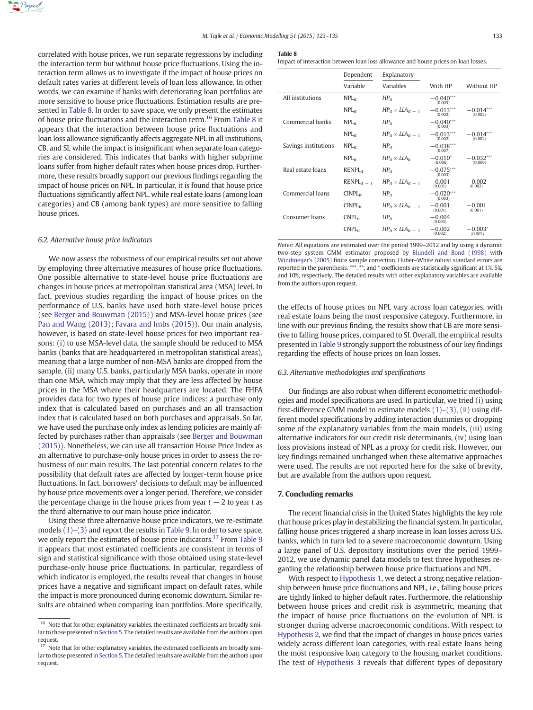<span id="page-10-0"></span>correlated with house prices, we run separate regressions by including the interaction term but without house price fluctuations. Using the interaction term allows us to investigate if the impact of house prices on default rates varies at different levels of loan loss allowance. In other words, we can examine if banks with deteriorating loan portfolios are more sensitive to house price fluctuations. Estimation results are presented in Table 8. In order to save space, we only present the estimates of house price fluctuations and the interaction term.16 From Table 8 it appears that the interaction between house price fluctuations and loan loss allowance significantly affects aggregate NPL in all institutions, CB, and SI, while the impact is insignificant when separate loan categories are considered. This indicates that banks with higher subprime loans suffer from higher default rates when house prices drop. Furthermore, these results broadly support our previous findings regarding the impact of house prices on NPL. In particular, it is found that house price fluctuations significantly affect NPL, while real estate loans (among loan categories) and CB (among bank types) are more sensitive to falling house prices.

# 6.2. Alternative house price indicators

We now assess the robustness of our empirical results set out above by employing three alternative measures of house price fluctuations. One possible alternative to state-level house price fluctuations are changes in house prices at metropolitan statistical area (MSA) level. In fact, previous studies regarding the impact of house prices on the performance of U.S. banks have used both state-level house prices (see [Berger and Bouwman \(2015\)\)](#page-11-0) and MSA-level house prices (see [Pan and Wang \(2013\)](#page-12-0); [Favara and Imbs \(2015\)\)](#page-12-0). Our main analysis, however, is based on state-level house prices for two important reasons: (i) to use MSA-level data, the sample should be reduced to MSA banks (banks that are headquartered in metropolitan statistical areas), meaning that a large number of non-MSA banks are dropped from the sample, (ii) many U.S. banks, particularly MSA banks, operate in more than one MSA, which may imply that they are less affected by house prices in the MSA where their headquarters are located. The FHFA provides data for two types of house price indices: a purchase only index that is calculated based on purchases and an all transaction index that is calculated based on both purchases and appraisals. So far, we have used the purchase only index as lending policies are mainly affected by purchases rather than appraisals (see [Berger and Bouwman](#page-11-0) [\(2015\)\)](#page-11-0). Nonetheless, we can use all transaction House Price Index as an alternative to purchase-only house prices in order to assess the robustness of our main results. The last potential concern relates to the possibility that default rates are affected by longer-term house price fluctuations. In fact, borrowers' decisions to default may be influenced by house price movements over a longer period. Therefore, we consider the percentage change in the house prices from year  $t - 2$  to year t as the third alternative to our main house price indicator.

Using these three alternative house price indicators, we re-estimate models [\(1\)](#page-3-0)–(3) and report the results in [Table 9.](#page-11-0) In order to save space, we only report the estimates of house price indicators.<sup>17</sup> From [Table 9](#page-11-0) it appears that most estimated coefficients are consistent in terms of sign and statistical significance with those obtained using state-level purchase-only house price fluctuations. In particular, regardless of which indicator is employed, the results reveal that changes in house prices have a negative and significant impact on default rates, while the impact is more pronounced during economic downturn. Similar results are obtained when comparing loan portfolios. More specifically,

### Table 8

Impact of interaction between loan loss allowance and house prices on loan losses.

|                      | Dependent                  | Explanatory                   |                        |                        |
|----------------------|----------------------------|-------------------------------|------------------------|------------------------|
|                      | Variable                   | Variables                     | With HP                | Without HP             |
| All institutions     | $NPL_{it}$                 | $HP_{it}$                     | $-0.040***$<br>(0.003) |                        |
|                      | $NPL_{it}$                 | $HP_{it} \times LLA_{it-1}$   | $-0.013***$<br>(0.002) | $-0.014***$<br>(0.002) |
| Commercial banks     | $NPL_{it}$                 | $HP_{it}$                     | $-0.040***$<br>(0.003) |                        |
|                      | $NPL_{it}$                 | $HP_{it} \times LLA_{it} = 1$ | $-0.013***$<br>(0.002) | $-0.014***$<br>(0.002) |
| Savings institutions | $NPL_{it}$                 | $HP_{it}$                     | $-0.038***$<br>(0.007) |                        |
|                      | $NPL_{it}$                 | $HP_{it} \times LLA_{it}$     | $-0.010*$<br>(0.006)   | $-0.032***$<br>(0.006) |
| Real estate loans    | <b>RENPL</b> <sub>it</sub> | $HP_{it}$                     | $-0.075***$<br>(0.003) |                        |
|                      | $RENPL_{it} = 1$           | $HP_{it} \times LLA_{it} = 1$ | $-0.001$<br>(0.001)    | $-0.002$<br>(0.002)    |
| Commercial loans     | $CINPL_{it}$               | $HP_{it}$                     | $-0.020***$<br>(0.003) |                        |
|                      | $CINPL_{it}$               | $HP_{it} \times LLA_{it-1}$   | $-0.001$<br>(0.001)    | $-0.001$<br>(0.001)    |
| Consumer loans       | $CNPL_{it}$                | $HP_{it}$                     | $-0.004$<br>(0.003)    |                        |
|                      | $CNPL_{it}$                | $HP_{it} \times LLA_{it}$ - 1 | $-0.002$<br>(0.002)    | $-0.003*$<br>(0.002)   |

Notes: All equations are estimated over the period 1999–2012 and by using a dynamic two-step system GMM estimator proposed by [Blundell and Bond \(1998\)](#page-11-0) with [Windmeijer's \(2005\)](#page-12-0) finite sample correction. Huber–White robust standard errors are reported in the parenthesis. \*\*\*, \*\*, and \* coefficients are statistically significant at 1%, 5%, and 10%, respectively. The detailed results with other explanatory variables are available from the authors upon request.

the effects of house prices on NPL vary across loan categories, with real estate loans being the most responsive category. Furthermore, in line with our previous finding, the results show that CB are more sensitive to falling house prices, compared to SI. Overall, the empirical results presented in [Table 9](#page-11-0) strongly support the robustness of our key findings regarding the effects of house prices on loan losses.

# 6.3. Alternative methodologies and specifications

Our findings are also robust when different econometric methodologies and model specifications are used. In particular, we tried (i) using first-difference GMM model to estimate models  $(1)$ – $(3)$ ,  $(ii)$  using different model specifications by adding interaction dummies or dropping some of the explanatory variables from the main models, (iii) using alternative indicators for our credit risk determinants, (iv) using loan loss provisions instead of NPL as a proxy for credit risk. However, our key findings remained unchanged when these alternative approaches were used. The results are not reported here for the sake of brevity, but are available from the authors upon request.

# 7. Concluding remarks

The recent financial crisis in the United States highlights the key role that house prices play in destabilizing the financial system. In particular, falling house prices triggered a sharp increase in loan losses across U.S. banks, which in turn led to a severe macroeconomic downturn. Using a large panel of U.S. depository institutions over the period 1999– 2012, we use dynamic panel data models to test three hypotheses regarding the relationship between house price fluctuations and NPL.

With respect to [Hypothesis 1](#page-3-0), we detect a strong negative relationship between house price fluctuations and NPL, i.e., falling house prices are tightly linked to higher default rates. Furthermore, the relationship between house prices and credit risk is asymmetric, meaning that the impact of house price fluctuations on the evolution of NPL is stronger during adverse macroeconomic conditions. With respect to [Hypothesis 2](#page-3-0), we find that the impact of changes in house prices varies widely across different loan categories, with real estate loans being the most responsive loan category to the housing market conditions. The test of [Hypothesis 3](#page-3-0) reveals that different types of depository

 $^{16}\,$  Note that for other explanatory variables, the estimated coefficients are broadly similar to those presented in [Section 5](#page-5-0). The detailed results are available from the authors upon request.

 $17$  Note that for other explanatory variables, the estimated coefficients are broadly similar to those presented in [Section 5](#page-5-0). The detailed results are available from the authors upon request.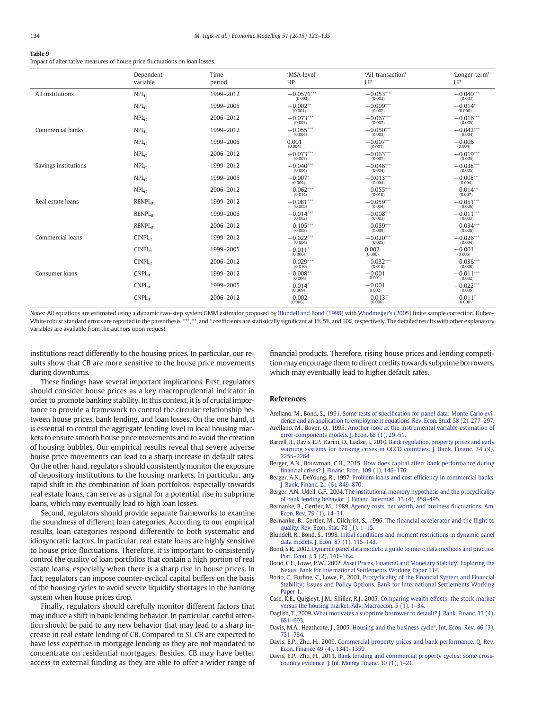#### <span id="page-11-0"></span>Table 9

Impact of alternative measures of house price fluctuations on loan losses.

|                      | Dependent                  | Time      | 'MSA-level'             | 'All-transaction'      | 'Longer-term'                    |
|----------------------|----------------------------|-----------|-------------------------|------------------------|----------------------------------|
|                      | variable                   | period    | HP                      | HP                     | HP                               |
| All institutions     | $NPL_{it}$                 | 1999-2012 | $-0.0571***$<br>(0.003) | $-0.053***$<br>(0.003) | $-0.049***$<br>(0.003)           |
|                      | $NPL_{it}$                 | 1999-2005 | $-0.002**$<br>(0.001)   | $-0.009***$<br>(0.002) | $-0.014*$<br>(0.008)             |
|                      | $NPL_{it}$                 | 2006-2012 | $-0.073***$<br>(0.007)  | $-0.067***$<br>(0.007) | $-0.016***$<br>(0.005)           |
| Commercial banks     | $NPL_{it}$                 | 1999-2012 | $-0.055***$<br>(0.004)  | $-0.050***$<br>(0.003) | $-0.042***$<br>(0.004)           |
|                      | $NPL_{it}$                 | 1999-2005 | 0.001<br>(0.004)        | $-0.007**$<br>(0.003)  | $-0.006$<br>(0.004)              |
|                      | $NPL_{it}$                 | 2006-2012 | $-0.073***$<br>(0.007)  | $-0.063***$<br>(0.007) | $-0.019***$<br>(0.005)           |
| Savings institutions | $NPL_{it}$                 | 1999-2012 | $-0.040***$<br>(0.004)  | $-0.046***$<br>(0.004) | $-0.038***$<br>(0.005)           |
|                      | <b>NPL</b> <sub>it</sub>   | 1999-2005 | $-0.007*$<br>(0.004)    | $-0.013***$<br>(0.004) | $-0.008**$<br>(0.004)            |
|                      | $NPL_{it}$                 | 2006-2012 | $-0.062***$<br>(0.014)  | $-0.055***$<br>(0.010) | $-0.014**$<br>(0.007)            |
| Real estate loans    | <b>RENPL</b> <sub>it</sub> | 1999-2012 | $-0.081***$<br>(0.005)  | $-0.059***$<br>(0.004) | $-0.051***$<br>(0.006)           |
|                      | <b>RENPL</b> <sub>it</sub> | 1999-2005 | $-0.014***$<br>(0.002)  | $-0.008***$<br>(0.003) | $-0.011***$<br>(0.003)           |
|                      | <b>RENPL</b> <sub>it</sub> | 2006-2012 | $-0.105***$<br>(0.008)  | $-0.089***$<br>(0.009) | $-0.034***$<br>(0.006)           |
| Commercial loans     | $CINPL_{it}$               | 1999-2012 | $-0.022***$<br>(0.004)  | $-0.020***$<br>(0.005) | $-0.026***$<br>(0.004)           |
|                      | $CINPL_{it}$               | 1999-2005 | $-0.011*$<br>(0.006)    | 0.002<br>(0.006)       | $-0.001$<br>(0.006)              |
|                      | $CINPL_{it}$               | 2006-2012 | $-0.029***$<br>(0.010)  | $-0.032***$<br>(0.010) | $-0.036***$<br>(0.008)           |
| Consumer loans       | $CNPL_{it}$                | 1999-2012 | $-0.008**$<br>(0.004)   | $-0.001$<br>(0.001)    | $-0.011***$<br>(0.002)           |
|                      | $CNPL_{it}$                | 1999-2005 | $-0.014*$<br>(0.009)    | $-0.001$<br>(0.002)    | $-0.022***$<br>(0.005)           |
|                      | $CNPL_{it}$                | 2006-2012 | $-0.002$<br>(0.006)     | $-0.013**$<br>(0.006)  | $-0.011$ <sup>*</sup><br>(0.006) |

Notes: All equations are estimated using a dynamic two-step system GMM estimator proposed by Blundell and Bond (1998) with [Windmeijer's \(2005\)](#page-12-0) finite sample correction. Huber– White robust standard errors are reported in the parenthesis. \*\*\*, \*\*, and \* coefficients are statistically significant at 1%, 5%, and 10%, respectively. The detailed results with other explanatory variables are available from the authors upon request.

institutions react differently to the housing prices. In particular, our results show that CB are more sensitive to the house price movements during downturns.

These findings have several important implications. First, regulators should consider house prices as a key macroprudential indicator in order to promote banking stability. In this context, it is of crucial importance to provide a framework to control the circular relationship between house prices, bank lending, and loan losses. On the one hand, it is essential to control the aggregate lending level in local housing markets to ensure smooth house price movements and to avoid the creation of housing bubbles. Our empirical results reveal that severe adverse house price movements can lead to a sharp increase in default rates. On the other hand, regulators should consistently monitor the exposure of depository institutions to the housing markets. In particular, any rapid shift in the combination of loan portfolios, especially towards real estate loans, can serve as a signal for a potential rise in subprime loans, which may eventually lead to high loan losses.

Second, regulators should provide separate frameworks to examine the soundness of different loan categories. According to our empirical results, loan categories respond differently to both systematic and idiosyncratic factors. In particular, real estate loans are highly sensitive to house price fluctuations. Therefore, it is important to consistently control the quality of loan portfolios that contain a high portion of real estate loans, especially when there is a sharp rise in house prices. In fact, regulators can impose counter-cyclical capital buffers on the basis of the housing cycles to avoid severe liquidity shortages in the banking system when house prices drop.

Finally, regulators should carefully monitor different factors that may induce a shift in bank lending behavior. In particular, careful attention should be paid to any new behavior that may lead to a sharp increase in real estate lending of CB. Compared to SI, CB are expected to have less expertise in mortgage lending as they are not mandated to concentrate on residential mortgages. Besides, CB may have better access to external funding as they are able to offer a wider range of financial products. Therefore, rising house prices and lending competition may encourage them to direct credits towards subprime borrowers, which may eventually lead to higher default rates.

#### References

- Arellano, M., Bond, S., 1991. Some tests of specifi[cation for panel data: Monte Carlo evi](http://refhub.elsevier.com/S0264-9993(15)00210-2/rf0005)[dence and an application to employment equations. Rev. Econ. Stud. 58 \(2\), 277](http://refhub.elsevier.com/S0264-9993(15)00210-2/rf0005)–297.
- Arellano, M., Bover, O., 1995. [Another look at the instrumental variable estimation of](http://refhub.elsevier.com/S0264-9993(15)00210-2/rf0010) [error-components models. J. Econ. 68 \(1\), 29](http://refhub.elsevier.com/S0264-9993(15)00210-2/rf0010)–51.
- Barrell, R., Davis, E.P., Karim, D., Liadze, I., 2010. [Bank regulation, property prices and early](http://refhub.elsevier.com/S0264-9993(15)00210-2/rf0015) [warning systems for banking crises in OECD countries. J. Bank. Financ. 34 \(9\),](http://refhub.elsevier.com/S0264-9993(15)00210-2/rf0015) 2255–[2264.](http://refhub.elsevier.com/S0264-9993(15)00210-2/rf0015)
- Berger, A.N., Bouwman, C.H., 2015. [How does capital affect bank performance during](http://refhub.elsevier.com/S0264-9993(15)00210-2/rf0020) fi[nancial crises? J. Financ. Econ. 109 \(1\), 146](http://refhub.elsevier.com/S0264-9993(15)00210-2/rf0020)–176.
- Berger, A.N., DeYoung, R., 1997. Problem loans and cost effi[ciency in commercial banks.](http://refhub.elsevier.com/S0264-9993(15)00210-2/rf0025) [J. Bank. Financ. 21 \(6\), 849](http://refhub.elsevier.com/S0264-9993(15)00210-2/rf0025)–870.
- Berger, A.N., Udell, G.F., 2004. [The institutional memory hypothesis and the procyclicality](http://refhub.elsevier.com/S0264-9993(15)00210-2/rf0030) [of bank lending behavior. J. Financ. Intermed. 13 \(4\), 458](http://refhub.elsevier.com/S0264-9993(15)00210-2/rf0030)–495.

Bernanke, B., Gertler, M., 1989. [Agency costs, net worth, and business](http://refhub.elsevier.com/S0264-9993(15)00210-2/rf0035) fluctuations. Am. [Econ. Rev. 79 \(1\), 14](http://refhub.elsevier.com/S0264-9993(15)00210-2/rf0035)–31.

- Bernanke, B., Gertler, M., Gilchrist, S., 1996. The fi[nancial accelerator and the](http://refhub.elsevier.com/S0264-9993(15)00210-2/rf0040) flight to [quality. Rev. Econ. Stat. 78 \(1\), 1](http://refhub.elsevier.com/S0264-9993(15)00210-2/rf0040)–15.
- Blundell, R., Bond, S., 1998. [Initial conditions and moment restrictions in dynamic panel](http://refhub.elsevier.com/S0264-9993(15)00210-2/rf0045) [data models. J. Econ. 87 \(1\), 115](http://refhub.elsevier.com/S0264-9993(15)00210-2/rf0045)–143.
- Bond, S.R., 2002. [Dynamic panel data models: a guide to micro data methods and practice.](http://refhub.elsevier.com/S0264-9993(15)00210-2/rf0050) [Port. Econ. J. 1 \(2\), 141](http://refhub.elsevier.com/S0264-9993(15)00210-2/rf0050)–162.
- Borio, C.E., Lowe, P.W., 2002. [Asset Prices, Financial and Monetary Stability: Exploring the](http://refhub.elsevier.com/S0264-9993(15)00210-2/rf0055) [Nexus. Bank for International Settlements Working Paper 114.](http://refhub.elsevier.com/S0264-9993(15)00210-2/rf0055)
- Borio, C., Furfine, C., Lowe, P., 2001. [Procyclicality of the Financial System and Financial](http://refhub.elsevier.com/S0264-9993(15)00210-2/rf0060) [Stability: Issues and Policy Options. Bank for International Settlements Working](http://refhub.elsevier.com/S0264-9993(15)00210-2/rf0060) [Paper 1](http://refhub.elsevier.com/S0264-9993(15)00210-2/rf0060).
- Case, K.E., Quigleyt, J.M., Shiller, R.J., 2005. [Comparing wealth effects: the stock market](http://refhub.elsevier.com/S0264-9993(15)00210-2/rf0065) [versus the housing market. Adv. Macroecon. 5 \(1\), 1](http://refhub.elsevier.com/S0264-9993(15)00210-2/rf0065)–34.
- Daglish, T., 2009. [What motivates a subprime borrower to default? J. Bank. Financ. 33 \(4\),](http://refhub.elsevier.com/S0264-9993(15)00210-2/rf0070) 681–[693.](http://refhub.elsevier.com/S0264-9993(15)00210-2/rf0070)
- Davis, M.A., Heathcote, J., 2005. Housing and the business cycle<sup>\*</sup>. Int. Econ. Rev. 46 (3), 751–[784.](http://refhub.elsevier.com/S0264-9993(15)00210-2/rf0075)
- Davis, E.P., Zhu, H., 2009. [Commercial property prices and bank performance. Q. Rev.](http://refhub.elsevier.com/S0264-9993(15)00210-2/rf0080) [Econ. Finance 49 \(4\), 1341](http://refhub.elsevier.com/S0264-9993(15)00210-2/rf0080)–1359.
- Davis, E.P., Zhu, H., 2011. [Bank lending and commercial property cycles: some cross](http://refhub.elsevier.com/S0264-9993(15)00210-2/rf0085)[country evidence. J. Int. Money Financ. 30 \(1\), 1](http://refhub.elsevier.com/S0264-9993(15)00210-2/rf0085)–21.